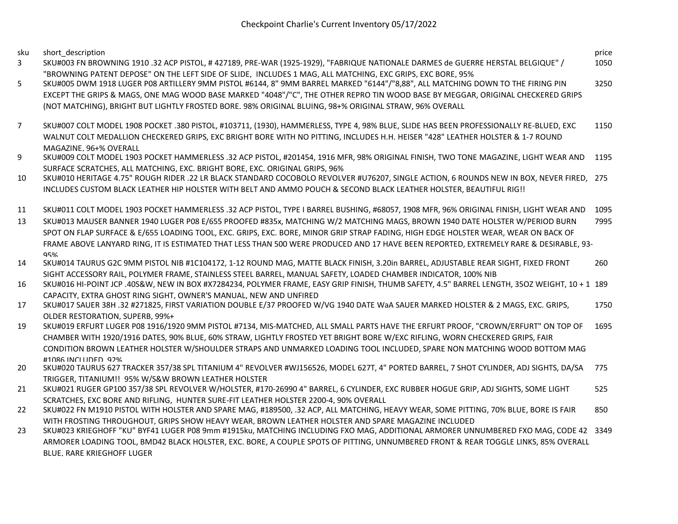sku short\_description price

- 3 SKU#003 FN BROWNING 1910 .32 ACP PISTOL, # 427189, PRE-WAR (1925-1929), "FABRIQUE NATIONALE DARMES de GUERRE HERSTAL BELGIQUE" / "BROWNING PATENT DEPOSE" ON THE LEFT SIDE OF SLIDE, INCLUDES 1 MAG, ALL MATCHING, EXC GRIPS, EXC BORE, 95% 1050
- 5 SKU#005 DWM 1918 LUGER P08 ARTILLERY 9MM PISTOL #6144, 8" 9MM BARREL MARKED "6144"/"8,88", ALL MATCHING DOWN TO THE FIRING PIN EXCEPT THE GRIPS & MAGS, ONE MAG WOOD BASE MARKED "4048"/"C", THE OTHER REPRO TIN WOOD BASE BY MEGGAR, ORIGINAL CHECKERED GRIPS (NOT MATCHING), BRIGHT BUT LIGHTLY FROSTED BORE. 98% ORIGINAL BLUING, 98+% ORIGINAL STRAW, 96% OVERALL 3250
- 7 SKU#007 COLT MODEL 1908 POCKET .380 PISTOL, #103711, (1930), HAMMERLESS, TYPE 4, 98% BLUE, SLIDE HAS BEEN PROFESSIONALLY RE-BLUED, EXC WALNUT COLT MEDALLION CHECKERED GRIPS, EXC BRIGHT BORE WITH NO PITTING, INCLUDES H.H. HEISER "428" LEATHER HOLSTER & 1-7 ROUND MAGAZINE, 96+% OVERALL 1150
- 9 SKU#009 COLT MODEL 1903 POCKET HAMMERLESS .32 ACP PISTOL, #201454, 1916 MFR, 98% ORIGINAL FINISH, TWO TONE MAGAZINE, LIGHT WEAR AND 1195 SURFACE SCRATCHES, ALL MATCHING, EXC. BRIGHT BORE, EXC. ORIGINAL GRIPS, 96%
- 10 SKU#010 HERITAGE 4.75" ROUGH RIDER .22 LR BLACK STANDARD COCOBOLO REVOLVER #U76207, SINGLE ACTION, 6 ROUNDS NEW IN BOX, NEVER FIRED, 275 INCLUDES CUSTOM BLACK LEATHER HIP HOLSTER WITH BELT AND AMMO POUCH & SECOND BLACK LEATHER HOLSTER, BEAUTIFUL RIG!!
- 11 SKU#011 COLT MODEL 1903 POCKET HAMMERLESS .32 ACP PISTOL, TYPE I BARREL BUSHING, #68057, 1908 MFR, 96% ORIGINAL FINISH, LIGHT WEAR AND 1095
- 13 SKU#013 MAUSER BANNER 1940 LUGER P08 E/655 PROOFED #835x, MATCHING W/2 MATCHING MAGS, BROWN 1940 DATE HOLSTER W/PERIOD BURN SPOT ON FLAP SURFACE & E/655 LOADING TOOL, EXC. GRIPS, EXC. BORE, MINOR GRIP STRAP FADING, HIGH EDGE HOLSTER WEAR, WEAR ON BACK OF FRAME ABOVE LANYARD RING, IT IS ESTIMATED THAT LESS THAN 500 WERE PRODUCED AND 17 HAVE BEEN REPORTED, EXTREMELY RARE & DESIRABLE, 93- 95% 7995
- 14 SKU#014 TAURUS G2C 9MM PISTOL NIB #1C104172, 1-12 ROUND MAG, MATTE BLACK FINISH, 3.20in BARREL, ADJUSTABLE REAR SIGHT, FIXED FRONT SIGHT ACCESSORY RAIL, POLYMER FRAME, STAINLESS STEEL BARREL, MANUAL SAFETY, LOADED CHAMBER INDICATOR, 100% NIB 260
- 16 SKU#016 HI-POINT JCP .40S&W, NEW IN BOX #X7284234, POLYMER FRAME, EASY GRIP FINISH, THUMB SAFETY, 4.5" BARREL LENGTH, 35OZ WEIGHT, 10 + 1 189 CAPACITY, EXTRA GHOST RING SIGHT, OWNER'S MANUAL, NEW AND UNFIRED
- 17 SKU#017 SAUER 38H .32 #271825, FIRST VARIATION DOUBLE E/37 PROOFED W/VG 1940 DATE WaA SAUER MARKED HOLSTER & 2 MAGS, EXC. GRIPS, OLDER RESTORATION, SUPERB, 99%+ 1750
- 19 SKU#019 ERFURT LUGER P08 1916/1920 9MM PISTOL #7134, MIS-MATCHED, ALL SMALL PARTS HAVE THE ERFURT PROOF, "CROWN/ERFURT" ON TOP OF CHAMBER WITH 1920/1916 DATES, 90% BLUE, 60% STRAW, LIGHTLY FROSTED YET BRIGHT BORE W/EXC RIFLING, WORN CHECKERED GRIPS, FAIR CONDITION BROWN LEATHER HOLSTER W/SHOULDER STRAPS AND UNMARKED LOADING TOOL INCLUDED, SPARE NON MATCHING WOOD BOTTOM MAG #1086 INCLUDED, 92% 1695
- 20 SKU#020 TAURUS 627 TRACKER 357/38 SPL TITANIUM 4" REVOLVER #WJ156526, MODEL 627T, 4" PORTED BARREL, 7 SHOT CYLINDER, ADJ SIGHTS, DA/SA TRIGGER, TITANIUM!! 95% W/S&W BROWN LEATHER HOLSTER 775
- 21 SKU#021 RUGER GP100 357/38 SPL REVOLVER W/HOLSTER, #170-26990 4" BARREL, 6 CYLINDER, EXC RUBBER HOGUE GRIP, ADJ SIGHTS, SOME LIGHT SCRATCHES, EXC BORE AND RIFLING, HUNTER SURE-FIT LEATHER HOLSTER 2200-4, 90% OVERALL 525
- 22 SKU#022 FN M1910 PISTOL WITH HOLSTER AND SPARE MAG, #189500, .32 ACP, ALL MATCHING, HEAVY WEAR, SOME PITTING, 70% BLUE, BORE IS FAIR WITH FROSTING THROUGHOUT, GRIPS SHOW HEAVY WEAR, BROWN LEATHER HOLSTER AND SPARE MAGAZINE INCLUDED 850
- 23 SKU#023 KRIEGHOFF "KU" BYF41 LUGER P08 9mm #1915ku, MATCHING INCLUDING FXO MAG, ADDITIONAL ARMORER UNNUMBERED FXO MAG, CODE 42 3349ARMORER LOADING TOOL, BMD42 BLACK HOLSTER, EXC. BORE, A COUPLE SPOTS OF PITTING, UNNUMBERED FRONT & REAR TOGGLE LINKS, 85% OVERALL BLUE, RARE KRIEGHOFF LUGER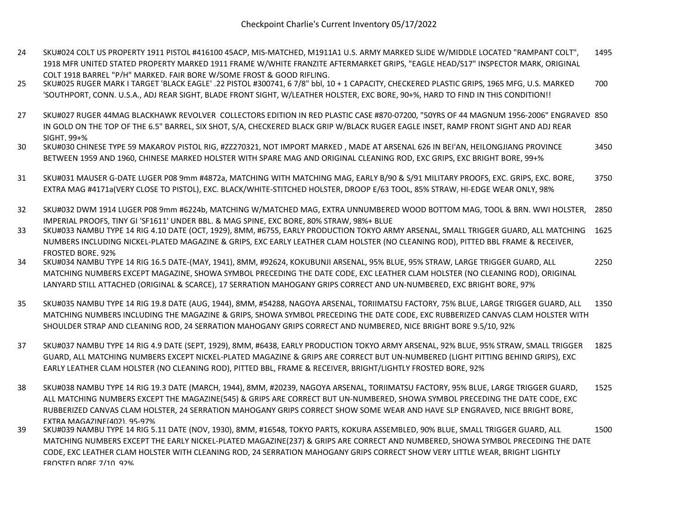- 24 SKU#024 COLT US PROPERTY 1911 PISTOL #416100 45ACP, MIS-MATCHED, M1911A1 U.S. ARMY MARKED SLIDE W/MIDDLE LOCATED "RAMPANT COLT", 1918 MFR UNITED STATED PROPERTY MARKED 1911 FRAME W/WHITE FRANZITE AFTERMARKET GRIPS, "EAGLE HEAD/S17" INSPECTOR MARK, ORIGINAL COLT 1918 BARREL "P/H" MARKED, FAIR BORE W/SOME FROST & GOOD RIFLING, 1495
- 25 SKU#025 RUGER MARK I TARGET 'BLACK EAGLE' .22 PISTOL #300741, 6 7/8" bbl, 10 + 1 CAPACITY, CHECKERED PLASTIC GRIPS, 1965 MFG, U.S. MARKED 'SOUTHPORT, CONN. U.S.A., ADJ REAR SIGHT, BLADE FRONT SIGHT, W/LEATHER HOLSTER, EXC BORE, 90+%, HARD TO FIND IN THIS CONDITION!! 700
- 27 SKU#027 RUGER 44MAG BLACKHAWK REVOLVER COLLECTORS EDITION IN RED PLASTIC CASE #870-07200, "50YRS OF 44 MAGNUM 1956-2006" ENGRAVED 850 IN GOLD ON THE TOP OF THE 6.5" BARREL, SIX SHOT, S/A, CHECKERED BLACK GRIP W/BLACK RUGER EAGLE INSET, RAMP FRONT SIGHT AND ADJ REAR  $SIGHT$ , 99+%
- 30 SKU#030 CHINESE TYPE 59 MAKAROV PISTOL RIG, #ZZ270321, NOT IMPORT MARKED , MADE AT ARSENAL 626 IN BEI'AN, HEILONGJIANG PROVINCE BETWEEN 1959 AND 1960, CHINESE MARKED HOLSTER WITH SPARE MAG AND ORIGINAL CLEANING ROD, EXC GRIPS, EXC BRIGHT BORE, 99+% 3450
- 31 SKU#031 MAUSER G-DATE LUGER P08 9mm #4872a, MATCHING WITH MATCHING MAG, EARLY B/90 & S/91 MILITARY PROOFS, EXC. GRIPS, EXC. BORE, EXTRA MAG #4171a(VERY CLOSE TO PISTOL), EXC. BLACK/WHITE-STITCHED HOLSTER, DROOP E/63 TOOL, 85% STRAW, HI-EDGE WEAR ONLY, 98% 3750
- 32 SKU#032 DWM 1914 LUGER P08 9mm #6224b, MATCHING W/MATCHED MAG, EXTRA UNNUMBERED WOOD BOTTOM MAG, TOOL & BRN. WWI HOLSTER, IMPERIAL PROOFS, TINY GI 'SF1611' UNDER BBL. & MAG SPINE, EXC BORE, 80% STRAW, 98%+ BLUE 2850
- 33 SKU#033 NAMBU TYPE 14 RIG 4.10 DATE (OCT, 1929), 8MM, #6755, EARLY PRODUCTION TOKYO ARMY ARSENAL, SMALL TRIGGER GUARD, ALL MATCHING 1625 NUMBERS INCLUDING NICKEL-PLATED MAGAZINE & GRIPS, EXC EARLY LEATHER CLAM HOLSTER (NO CLEANING ROD), PITTED BBL FRAME & RECEIVER, FROSTED BORE, 92%
- 34 SKU#034 NAMBU TYPE 14 RIG 16.5 DATE-(MAY, 1941), 8MM, #92624, KOKUBUNJI ARSENAL, 95% BLUE, 95% STRAW, LARGE TRIGGER GUARD, ALL MATCHING NUMBERS EXCEPT MAGAZINE, SHOWA SYMBOL PRECEDING THE DATE CODE, EXC LEATHER CLAM HOLSTER (NO CLEANING ROD), ORIGINAL LANYARD STILL ATTACHED (ORIGINAL & SCARCE), 17 SERRATION MAHOGANY GRIPS CORRECT AND UN-NUMBERED, EXC BRIGHT BORE, 97% 2250
- 35 SKU#035 NAMBU TYPE 14 RIG 19.8 DATE (AUG, 1944), 8MM, #54288, NAGOYA ARSENAL, TORIIMATSU FACTORY, 75% BLUE, LARGE TRIGGER GUARD, ALL MATCHING NUMBERS INCLUDING THE MAGAZINE & GRIPS, SHOWA SYMBOL PRECEDING THE DATE CODE, EXC RUBBERIZED CANVAS CLAM HOLSTER WITH SHOULDER STRAP AND CLEANING ROD, 24 SERRATION MAHOGANY GRIPS CORRECT AND NUMBERED, NICE BRIGHT BORE 9.5/10, 92% 1350
- 37 SKU#037 NAMBU TYPE 14 RIG 4.9 DATE (SEPT, 1929), 8MM, #6438, EARLY PRODUCTION TOKYO ARMY ARSENAL, 92% BLUE, 95% STRAW, SMALL TRIGGER GUARD, ALL MATCHING NUMBERS EXCEPT NICKEL-PLATED MAGAZINE & GRIPS ARE CORRECT BUT UN-NUMBERED (LIGHT PITTING BEHIND GRIPS), EXC EARLY LEATHER CLAM HOLSTER (NO CLEANING ROD), PITTED BBL, FRAME & RECEIVER, BRIGHT/LIGHTLY FROSTED BORE, 92% 1825
- 38 SKU#038 NAMBU TYPE 14 RIG 19.3 DATE (MARCH, 1944), 8MM, #20239, NAGOYA ARSENAL, TORIIMATSU FACTORY, 95% BLUE, LARGE TRIGGER GUARD, ALL MATCHING NUMBERS EXCEPT THE MAGAZINE(545) & GRIPS ARE CORRECT BUT UN-NUMBERED, SHOWA SYMBOL PRECEDING THE DATE CODE, EXC RUBBERIZED CANVAS CLAM HOLSTER, 24 SERRATION MAHOGANY GRIPS CORRECT SHOW SOME WEAR AND HAVE SLP ENGRAVED, NICE BRIGHT BORE, EXTRA MAGAZINE(402), 95-97% 1525
- 39 SKU#039 NAMBU TYPE 14 RIG 5.11 DATE (NOV, 1930), 8MM, #16548, TOKYO PARTS, KOKURA ASSEMBLED, 90% BLUE, SMALL TRIGGER GUARD, ALL MATCHING NUMBERS EXCEPT THE EARLY NICKEL-PLATED MAGAZINE(237) & GRIPS ARE CORRECT AND NUMBERED, SHOWA SYMBOL PRECEDING THE DATE CODE, EXC LEATHER CLAM HOLSTER WITH CLEANING ROD, 24 SERRATION MAHOGANY GRIPS CORRECT SHOW VERY LITTLE WEAR, BRIGHT LIGHTLY FROSTED BORE 7/10, 92% 1500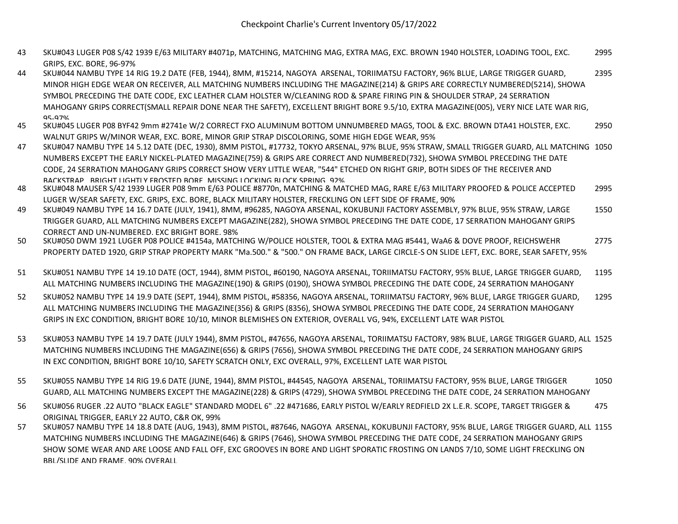- 43 SKU#043 LUGER P08 S/42 1939 E/63 MILITARY #4071p, MATCHING, MATCHING MAG, EXTRA MAG, EXC. BROWN 1940 HOLSTER, LOADING TOOL, EXC. GRIPS, EXC. BORE, 96-97% 2995
- 44 SKU#044 NAMBU TYPE 14 RIG 19.2 DATE (FEB, 1944), 8MM, #15214, NAGOYA ARSENAL, TORIIMATSU FACTORY, 96% BLUE, LARGE TRIGGER GUARD, MINOR HIGH EDGE WEAR ON RECEIVER, ALL MATCHING NUMBERS INCLUDING THE MAGAZINE(214) & GRIPS ARE CORRECTLY NUMBERED(5214), SHOWA SYMBOL PRECEDING THE DATE CODE, EXC LEATHER CLAM HOLSTER W/CLEANING ROD & SPARE FIRING PIN & SHOULDER STRAP, 24 SERRATION MAHOGANY GRIPS CORRECT(SMALL REPAIR DONE NEAR THE SAFETY), EXCELLENT BRIGHT BORE 9.5/10, EXTRA MAGAZINE(005), VERY NICE LATE WAR RIG, 95-97% 2395
- 45 SKU#045 LUGER P08 BYF42 9mm #2741e W/2 CORRECT FXO ALUMINUM BOTTOM UNNUMBERED MAGS, TOOL & EXC. BROWN DTA41 HOLSTER, EXC. WALNUT GRIPS W/MINOR WEAR, EXC. BORE, MINOR GRIP STRAP DISCOLORING, SOME HIGH EDGE WEAR, 95% 2950
- 47 SKU#047 NAMBU TYPE 14 5.12 DATE (DEC, 1930), 8MM PISTOL, #17732, TOKYO ARSENAL, 97% BLUE, 95% STRAW, SMALL TRIGGER GUARD, ALL MATCHING 1050 NUMBERS EXCEPT THE EARLY NICKEL-PLATED MAGAZINE(759) & GRIPS ARE CORRECT AND NUMBERED(732), SHOWA SYMBOL PRECEDING THE DATE CODE, 24 SERRATION MAHOGANY GRIPS CORRECT SHOW VERY LITTLE WEAR, "544" ETCHED ON RIGHT GRIP, BOTH SIDES OF THE RECEIVER AND BACKSTRAP, BRIGHT LIGHTLY FROSTED BORE, MISSING LOCKING BLOCK SPRING, 92%
- 48 SKU#048 MAUSER S/42 1939 LUGER P08 9mm E/63 POLICE #8770n, MATCHING & MATCHED MAG, RARE E/63 MILITARY PROOFED & POLICE ACCEPTED LUGER W/SEAR SAFETY, EXC. GRIPS, EXC. BORE, BLACK MILITARY HOLSTER, FRECKLING ON LEFT SIDE OF FRAME, 90% 2995
- 49 SKU#049 NAMBU TYPE 14 16.7 DATE (JULY, 1941), 8MM, #96285, NAGOYA ARSENAL, KOKUBUNJI FACTORY ASSEMBLY, 97% BLUE, 95% STRAW, LARGE TRIGGER GUARD, ALL MATCHING NUMBERS EXCEPT MAGAZINE(282), SHOWA SYMBOL PRECEDING THE DATE CODE, 17 SERRATION MAHOGANY GRIPS CORRECT AND UN-NUMBERED, EXC BRIGHT BORE, 98% 1550
- 50 SKU#050 DWM 1921 LUGER P08 POLICE #4154a, MATCHING W/POLICE HOLSTER, TOOL & EXTRA MAG #5441, WaA6 & DOVE PROOF, REICHSWEHR PROPERTY DATED 1920, GRIP STRAP PROPERTY MARK "Ma.500." & "500." ON FRAME BACK, LARGE CIRCLE-S ON SLIDE LEFT, EXC. BORE, SEAR SAFETY, 95% 2775
- 51 SKU#051 NAMBU TYPE 14 19.10 DATE (OCT, 1944), 8MM PISTOL, #60190, NAGOYA ARSENAL, TORIIMATSU FACTORY, 95% BLUE, LARGE TRIGGER GUARD, ALL MATCHING NUMBERS INCLUDING THE MAGAZINE(190) & GRIPS (0190), SHOWA SYMBOL PRECEDING THE DATE CODE, 24 SERRATION MAHOGANY 1195
- 52 SKU#052 NAMBU TYPE 14 19.9 DATE (SEPT, 1944), 8MM PISTOL, #58356, NAGOYA ARSENAL, TORIIMATSU FACTORY, 96% BLUE, LARGE TRIGGER GUARD, ALL MATCHING NUMBERS INCLUDING THE MAGAZINE(356) & GRIPS (8356), SHOWA SYMBOL PRECEDING THE DATE CODE, 24 SERRATION MAHOGANY GRIPS IN EXC CONDITION, BRIGHT BORE 10/10, MINOR BLEMISHES ON EXTERIOR, OVERALL VG, 94%, EXCELLENT LATE WAR PISTOL 1295
- 53 SKU#053 NAMBU TYPE 14 19.7 DATE (JULY 1944), 8MM PISTOL, #47656, NAGOYA ARSENAL, TORIIMATSU FACTORY, 98% BLUE, LARGE TRIGGER GUARD, ALL 1525 MATCHING NUMBERS INCLUDING THE MAGAZINE(656) & GRIPS (7656), SHOWA SYMBOL PRECEDING THE DATE CODE, 24 SERRATION MAHOGANY GRIPS IN EXC CONDITION, BRIGHT BORE 10/10, SAFETY SCRATCH ONLY, EXC OVERALL, 97%, EXCELLENT LATE WAR PISTOL
- 55 SKU#055 NAMBU TYPE 14 RIG 19.6 DATE (JUNE, 1944), 8MM PISTOL, #44545, NAGOYA ARSENAL, TORIIMATSU FACTORY, 95% BLUE, LARGE TRIGGER GUARD, ALL MATCHING NUMBERS EXCEPT THE MAGAZINE(228) & GRIPS (4729), SHOWA SYMBOL PRECEDING THE DATE CODE, 24 SERRATION MAHOGANY 1050
- 56 SKU#056 RUGER .22 AUTO "BLACK EAGLE" STANDARD MODEL 6" .22 #471686, EARLY PISTOL W/EARLY REDFIELD 2X L.E.R. SCOPE, TARGET TRIGGER & ORIGINAL TRIGGER, EARLY 22 AUTO, C&R OK, 99% 475
- 57 SKU#057 NAMBU TYPE 14 18.8 DATE (AUG, 1943), 8MM PISTOL, #87646, NAGOYA ARSENAL, KOKUBUNJI FACTORY, 95% BLUE, LARGE TRIGGER GUARD, ALL 1155MATCHING NUMBERS INCLUDING THE MAGAZINE(646) & GRIPS (7646), SHOWA SYMBOL PRECEDING THE DATE CODE, 24 SERRATION MAHOGANY GRIPS SHOW SOME WEAR AND ARE LOOSE AND FALL OFF, EXC GROOVES IN BORE AND LIGHT SPORATIC FROSTING ON LANDS 7/10, SOME LIGHT FRECKLING ON BBL/SLIDE AND FRAME, 90% OVERALL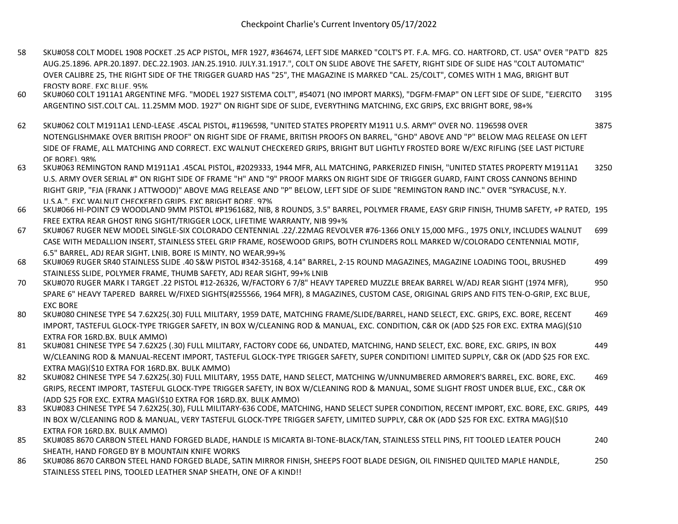- 58 SKU#058 COLT MODEL 1908 POCKET .25 ACP PISTOL, MFR 1927, #364674, LEFT SIDE MARKED "COLT'S PT. F.A. MFG. CO. HARTFORD, CT. USA" OVER "PAT'D 825 AUG.25.1896. APR.20.1897. DEC.22.1903. JAN.25.1910. JULY.31.1917.", COLT ON SLIDE ABOVE THE SAFETY, RIGHT SIDE OF SLIDE HAS "COLT AUTOMATIC" OVER CALIBRE 25, THE RIGHT SIDE OF THE TRIGGER GUARD HAS "25", THE MAGAZINE IS MARKED "CAL. 25/COLT", COMES WITH 1 MAG, BRIGHT BUT FROSTY BORE, EXC BLUE, 95%
- 60 SKU#060 COLT 1911A1 ARGENTINE MFG. "MODEL 1927 SISTEMA COLT", #54071 (NO IMPORT MARKS), "DGFM-FMAP" ON LEFT SIDE OF SLIDE, "EJERCITO ARGENTINO SIST.COLT CAL. 11.25MM MOD. 1927" ON RIGHT SIDE OF SLIDE, EVERYTHING MATCHING, EXC GRIPS, EXC BRIGHT BORE, 98+% 3195
- 62 SKU#062 COLT M1911A1 LEND-LEASE .45CAL PISTOL, #1196598, "UNITED STATES PROPERTY M1911 U.S. ARMY" OVER NO. 1196598 OVER NOTENGLISHMAKE OVER BRITISH PROOF" ON RIGHT SIDE OF FRAME, BRITISH PROOFS ON BARREL, "GHD" ABOVE AND "P" BELOW MAG RELEASE ON LEFT SIDE OF FRAME, ALL MATCHING AND CORRECT. EXC WALNUT CHECKERED GRIPS, BRIGHT BUT LIGHTLY FROSTED BORE W/EXC RIFLING (SEE LAST PICTURE OF BORE), 98% 3875
- 63 SKU#063 REMINGTON RAND M1911A1 .45CAL PISTOL, #2029333, 1944 MFR, ALL MATCHING, PARKERIZED FINISH, "UNITED STATES PROPERTY M1911A1 U.S. ARMY OVER SERIAL #" ON RIGHT SIDE OF FRAME "H" AND "9" PROOF MARKS ON RIGHT SIDE OF TRIGGER GUARD, FAINT CROSS CANNONS BEHIND RIGHT GRIP, "FJA (FRANK J ATTWOOD)" ABOVE MAG RELEASE AND "P" BELOW, LEFT SIDE OF SLIDE "REMINGTON RAND INC." OVER "SYRACUSE, N.Y. U.S.A.", EXC WALNUT CHECKERED GRIPS, EXC BRIGHT BORE, 97% 3250
- 66 SKU#066 HI-POINT C9 WOODLAND 9MM PISTOL #P1961682, NIB, 8 ROUNDS, 3.5" BARREL, POLYMER FRAME, EASY GRIP FINISH, THUMB SAFETY, +P RATED, 195 FREE EXTRA REAR GHOST RING SIGHT/TRIGGER LOCK, LIFETIME WARRANTY, NIB 99+%
- 67 SKU#067 RUGER NEW MODEL SINGLE-SIX COLORADO CENTENNIAL .22/.22MAG REVOLVER #76-1366 ONLY 15,000 MFG., 1975 ONLY, INCLUDES WALNUT CASE WITH MEDALLION INSERT, STAINLESS STEEL GRIP FRAME, ROSEWOOD GRIPS, BOTH CYLINDERS ROLL MARKED W/COLORADO CENTENNIAL MOTIF, 6.5" BARREL, ADJ REAR SIGHT, LNIB, BORE IS MINTY, NO WEAR,99+% 699
- 68 SKU#069 RUGER SR40 STAINLESS SLIDE .40 S&W PISTOL #342-35168, 4.14" BARREL, 2-15 ROUND MAGAZINES, MAGAZINE LOADING TOOL, BRUSHED STAINLESS SLIDE, POLYMER FRAME, THUMB SAFETY, ADJ REAR SIGHT, 99+% LNIB 499
- 70 SKU#070 RUGER MARK I TARGET .22 PISTOL #12-26326, W/FACTORY 6 7/8" HEAVY TAPERED MUZZLE BREAK BARREL W/ADJ REAR SIGHT (1974 MFR), SPARE 6" HEAVY TAPERED BARREL W/FIXED SIGHTS(#255566, 1964 MFR), 8 MAGAZINES, CUSTOM CASE, ORIGINAL GRIPS AND FITS TEN-O-GRIP, EXC BLUE, EXC BORE 950
- 80 SKU#080 CHINESE TYPE 54 7.62X25(.30) FULL MILITARY, 1959 DATE, MATCHING FRAME/SLIDE/BARREL, HAND SELECT, EXC. GRIPS, EXC. BORE, RECENT IMPORT, TASTEFUL GLOCK-TYPE TRIGGER SAFETY, IN BOX W/CLEANING ROD & MANUAL, EXC. CONDITION, C&R OK (ADD \$25 FOR EXC. EXTRA MAG)(\$10 EXTRA FOR 16RD.BX. BULK AMMO) 469
- 81 SKU#081 CHINESE TYPE 54 7.62X25 (.30) FULL MILITARY, FACTORY CODE 66, UNDATED, MATCHING, HAND SELECT, EXC. BORE, EXC. GRIPS, IN BOX W/CLEANING ROD & MANUAL-RECENT IMPORT, TASTEFUL GLOCK-TYPE TRIGGER SAFETY, SUPER CONDITION! LIMITED SUPPLY, C&R OK (ADD \$25 FOR EXC. EXTRA MAG)(\$10 EXTRA FOR 16RD.BX. BULK AMMO) 449
- 82 SKU#082 CHINESE TYPE 54 7.62X25(.30) FULL MILITARY, 1955 DATE, HAND SELECT, MATCHING W/UNNUMBERED ARMORER'S BARREL, EXC. BORE, EXC. GRIPS, RECENT IMPORT, TASTEFUL GLOCK-TYPE TRIGGER SAFETY, IN BOX W/CLEANING ROD & MANUAL, SOME SLIGHT FROST UNDER BLUE, EXC., C&R OK (ADD \$25 FOR EXC. EXTRA MAG)(\$10 EXTRA FOR 16RD.BX. BULK AMMO) 469
- 83 SKU#083 CHINESE TYPE 54 7.62X25(.30), FULL MILITARY-636 CODE, MATCHING, HAND SELECT SUPER CONDITION, RECENT IMPORT, EXC. BORE, EXC. GRIPS, 449 IN BOX W/CLEANING ROD & MANUAL, VERY TASTEFUL GLOCK-TYPE TRIGGER SAFETY, LIMITED SUPPLY, C&R OK (ADD \$25 FOR EXC. EXTRA MAG)(\$10 EXTRA FOR 16RD.BX. BULK AMMO)
- 85 SKU#085 8670 CARBON STEEL HAND FORGED BLADE, HANDLE IS MICARTA BI-TONE-BLACK/TAN, STAINLESS STELL PINS, FIT TOOLED LEATER POUCH SHEATH, HAND FORGED BY B MOUNTAIN KNIFE WORKS 240
- 86 SKU#086 8670 CARBON STEEL HAND FORGED BLADE, SATIN MIRROR FINISH, SHEEPS FOOT BLADE DESIGN, OIL FINISHED QUILTED MAPLE HANDLE, STAINLESS STEEL PINS, TOOLED LEATHER SNAP SHEATH, ONE OF A KIND!! 250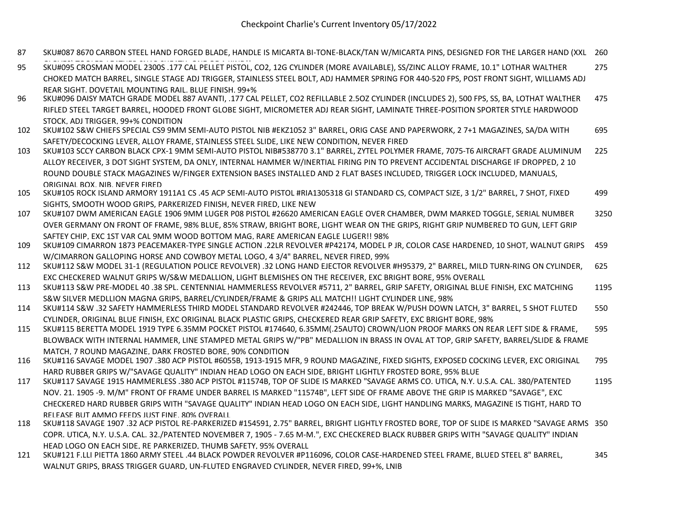- 87 SKU#087 8670 CARBON STEEL HAND FORGED BLADE, HANDLE IS MICARTA BI-TONE-BLACK/TAN W/MICARTA PINS, DESIGNED FOR THE LARGER HAND (XXL 260
- GLOVES) TOOLED LEATHER SNAP SHEATH, ONE OF A KIND!! 95 SKU#095 CROSMAN MODEL 2300S .177 CAL PELLET PISTOL, CO2, 12G CYLINDER (MORE AVAILABLE), SS/ZINC ALLOY FRAME, 10.1" LOTHAR WALTHER CHOKED MATCH BARREL, SINGLE STAGE ADJ TRIGGER, STAINLESS STEEL BOLT, ADJ HAMMER SPRING FOR 440-520 FPS, POST FRONT SIGHT, WILLIAMS ADJ REAR SIGHT, DOVETAIL MOUNTING RAIL, BLUE FINISH, 99+% 275
- 96 SKU#096 DAISY MATCH GRADE MODEL 887 AVANTI, .177 CAL PELLET, CO2 REFILLABLE 2.5OZ CYLINDER (INCLUDES 2), 500 FPS, SS, BA, LOTHAT WALTHER RIFLED STEEL TARGET BARREL, HOODED FRONT GLOBE SIGHT, MICROMETER ADJ REAR SIGHT, LAMINATE THREE-POSITION SPORTER STYLE HARDWOOD STOCK, ADJ TRIGGER, 99+% CONDITION 475
- 102 SKU#102 S&W CHIEFS SPECIAL CS9 9MM SEMI-AUTO PISTOL NIB #EKZ1052 3" BARREL, ORIG CASE AND PAPERWORK, 2 7+1 MAGAZINES, SA/DA WITH SAFETY/DECOCKING LEVER, ALLOY FRAME, STAINLESS STEEL SLIDE, LIKE NEW CONDITION, NEVER FIRED 695
- 103 SKU#103 SCCY CARBON BLACK CPX-1 9MM SEMI-AUTO PISTOL NIB#538770 3.1" BARREL, ZYTEL POLYMER FRAME, 7075-T6 AIRCRAFT GRADE ALUMINUM ALLOY RECEIVER, 3 DOT SIGHT SYSTEM, DA ONLY, INTERNAL HAMMER W/INERTIAL FIRING PIN TO PREVENT ACCIDENTAL DISCHARGE IF DROPPED, 2 10 ROUND DOUBLE STACK MAGAZINES W/FINGER EXTENSION BASES INSTALLED AND 2 FLAT BASES INCLUDED, TRIGGER LOCK INCLUDED, MANUALS, ORIGINAL BOX, NIB, NEVER FIRED 225
- 105 SKU#105 ROCK ISLAND ARMORY 1911A1 CS .45 ACP SEMI-AUTO PISTOL #RIA1305318 GI STANDARD CS, COMPACT SIZE, 3 1/2" BARREL, 7 SHOT, FIXED SIGHTS, SMOOTH WOOD GRIPS, PARKERIZED FINISH, NEVER FIRED, LIKE NEW 499
- 107 SKU#107 DWM AMERICAN EAGLE 1906 9MM LUGER P08 PISTOL #26620 AMERICAN EAGLE OVER CHAMBER, DWM MARKED TOGGLE, SERIAL NUMBER OVER GERMANY ON FRONT OF FRAME, 98% BLUE, 85% STRAW, BRIGHT BORE, LIGHT WEAR ON THE GRIPS, RIGHT GRIP NUMBERED TO GUN, LEFT GRIP SAFTEY CHIP, EXC 1ST VAR CAL 9MM WOOD BOTTOM MAG, RARE AMERICAN EAGLE LUGER!! 98% 3250
- 109 SKU#109 CIMARRON 1873 PEACEMAKER-TYPE SINGLE ACTION .22LR REVOLVER #P42174, MODEL P JR, COLOR CASE HARDENED, 10 SHOT, WALNUT GRIPS W/CIMARRON GALLOPING HORSE AND COWBOY METAL LOGO, 4 3/4" BARREL, NEVER FIRED, 99% 459
- 112 SKU#112 S&W MODEL 31-1 (REGULATION POLICE REVOLVER) .32 LONG HAND EJECTOR REVOLVER #H95379, 2" BARREL, MILD TURN-RING ON CYLINDER, EXC CHECKERED WALNUT GRIPS W/S&W MEDALLION, LIGHT BLEMISHES ON THE RECEIVER, EXC BRIGHT BORE, 95% OVERALL 625
- 113 SKU#113 S&W PRE-MODEL 40 .38 SPL. CENTENNIAL HAMMERLESS REVOLVER #5711, 2" BARREL, GRIP SAFETY, ORIGINAL BLUE FINISH, EXC MATCHING S&W SILVER MEDLLION MAGNA GRIPS, BARREL/CYLINDER/FRAME & GRIPS ALL MATCH!! LIGHT CYLINDER LINE, 98% 1195
- 114 SKU#114 S&W .32 SAFETY HAMMERLESS THIRD MODEL STANDARD REVOLVER #242446, TOP BREAK W/PUSH DOWN LATCH, 3" BARREL, 5 SHOT FLUTED CYLINDER, ORIGINAL BLUE FINISH, EXC ORIGINAL BLACK PLASTIC GRIPS, CHECKERED REAR GRIP SAFETY, EXC BRIGHT BORE, 98% 550
- 115 SKU#115 BERETTA MODEL 1919 TYPE 6.35MM POCKET PISTOL #174640, 6.35MM(.25AUTO) CROWN/LION PROOF MARKS ON REAR LEFT SIDE & FRAME, BLOWBACK WITH INTERNAL HAMMER, LINE STAMPED METAL GRIPS W/"PB" MEDALLION IN BRASS IN OVAL AT TOP, GRIP SAFETY, BARREL/SLIDE & FRAME MATCH, 7 ROUND MAGAZINE, DARK FROSTED BORE, 90% CONDITION 595
- 116 SKU#116 SAVAGE MODEL 1907 .380 ACP PISTOL #6055B, 1913-1915 MFR, 9 ROUND MAGAZINE, FIXED SIGHTS, EXPOSED COCKING LEVER, EXC ORIGINAL HARD RUBBER GRIPS W/"SAVAGE QUALITY" INDIAN HEAD LOGO ON EACH SIDE, BRIGHT LIGHTLY FROSTED BORE, 95% BLUE 795
- 117 SKU#117 SAVAGE 1915 HAMMERLESS .380 ACP PISTOL #11574B, TOP OF SLIDE IS MARKED "SAVAGE ARMS CO. UTICA, N.Y. U.S.A. CAL. 380/PATENTED NOV. 21. 1905 -9. M/M" FRONT OF FRAME UNDER BARREL IS MARKED "11574B", LEFT SIDE OF FRAME ABOVE THE GRIP IS MARKED "SAVAGE", EXC CHECKERED HARD RUBBER GRIPS WITH "SAVAGE QUALITY" INDIAN HEAD LOGO ON EACH SIDE, LIGHT HANDLING MARKS, MAGAZINE IS TIGHT, HARD TO RELEASE BUT AMMO FEEDS JUST FINE, 80% OVERALL 1195
- 118 SKU#118 SAVAGE 1907 .32 ACP PISTOL RE-PARKERIZED #154591, 2.75" BARREL, BRIGHT LIGHTLY FROSTED BORE, TOP OF SLIDE IS MARKED "SAVAGE ARMS 350 COPR. UTICA, N.Y. U.S.A. CAL. 32./PATENTED NOVEMBER 7, 1905 - 7.65 M-M.", EXC CHECKERED BLACK RUBBER GRIPS WITH "SAVAGE QUALITY" INDIAN HEAD LOGO ON EACH SIDE, RE PARKERIZED, THUMB SAFETY, 95% OVERALL
- 121 SKU#121 F.LLI PIETTA 1860 ARMY STEEL .44 BLACK POWDER REVOLVER #P116096, COLOR CASE-HARDENED STEEL FRAME, BLUED STEEL 8" BARREL, WALNUT GRIPS, BRASS TRIGGER GUARD, UN-FLUTED ENGRAVED CYLINDER, NEVER FIRED, 99+%, LNIB 345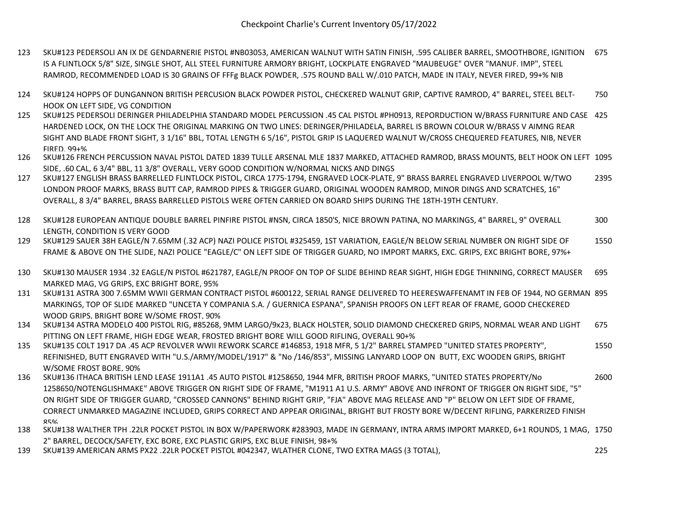- 123 SKU#123 PEDERSOLI AN IX DE GENDARNERIE PISTOL #NB03053, AMERICAN WALNUT WITH SATIN FINISH, .595 CALIBER BARREL, SMOOTHBORE, IGNITION 675 IS A FLINTLOCK 5/8" SIZE, SINGLE SHOT, ALL STEEL FURNITURE ARMORY BRIGHT, LOCKPLATE ENGRAVED "MAUBEUGE" OVER "MANUF. IMP", STEEL RAMROD, RECOMMENDED LOAD IS 30 GRAINS OF FFFg BLACK POWDER, .575 ROUND BALL W/.010 PATCH, MADE IN ITALY, NEVER FIRED, 99+% NIB
- 124 SKU#124 HOPPS OF DUNGANNON BRITISH PERCUSION BLACK POWDER PISTOL, CHECKERED WALNUT GRIP, CAPTIVE RAMROD, 4" BARREL, STEEL BELT-HOOK ON LEFT SIDE, VG CONDITION 750
- 125 SKU#125 PEDERSOLI DERINGER PHILADELPHIA STANDARD MODEL PERCUSSION .45 CAL PISTOL #PH0913, REPORDUCTION W/BRASS FURNITURE AND CASE 425 HARDENED LOCK, ON THE LOCK THE ORIGINAL MARKING ON TWO LINES: DERINGER/PHILADELA, BARREL IS BROWN COLOUR W/BRASS V AIMNG REAR SIGHT AND BLADE FRONT SIGHT, 3 1/16" BBL, TOTAL LENGTH 6 5/16", PISTOL GRIP IS LAQUERED WALNUT W/CROSS CHEQUERED FEATURES, NIB, NEVER FIRED, 99+%
- 126 SKU#126 FRENCH PERCUSSION NAVAL PISTOL DATED 1839 TULLE ARSENAL MLE 1837 MARKED, ATTACHED RAMROD, BRASS MOUNTS, BELT HOOK ON LEFT 1095 SIDE, .60 CAL, 6 3/4" BBL, 11 3/8" OVERALL, VERY GOOD CONDITION W/NORMAL NICKS AND DINGS
- 127 SKU#127 ENGLISH BRASS BARRELLED FLINTLOCK PISTOL, CIRCA 1775-1794, ENGRAVED LOCK-PLATE, 9" BRASS BARREL ENGRAVED LIVERPOOL W/TWO LONDON PROOF MARKS, BRASS BUTT CAP, RAMROD PIPES & TRIGGER GUARD, ORIGINAL WOODEN RAMROD, MINOR DINGS AND SCRATCHES, 16" OVERALL, 8 3/4" BARREL, BRASS BARRELLED PISTOLS WERE OFTEN CARRIED ON BOARD SHIPS DURING THE 18TH-19TH CENTURY. 2395
- 128 SKU#128 EUROPEAN ANTIQUE DOUBLE BARREL PINFIRE PISTOL #NSN, CIRCA 1850'S, NICE BROWN PATINA, NO MARKINGS, 4" BARREL, 9" OVERALL LENGTH, CONDITION IS VERY GOOD 300
- 129 SKU#129 SAUER 38H EAGLE/N 7.65MM (.32 ACP) NAZI POLICE PISTOL #325459, 1ST VARIATION, EAGLE/N BELOW SERIAL NUMBER ON RIGHT SIDE OF FRAME & ABOVE ON THE SLIDE, NAZI POLICE "EAGLE/C" ON LEFT SIDE OF TRIGGER GUARD, NO IMPORT MARKS, EXC. GRIPS, EXC BRIGHT BORE, 97%+ 1550
- 130 SKU#130 MAUSER 1934 .32 EAGLE/N PISTOL #621787, EAGLE/N PROOF ON TOP OF SLIDE BEHIND REAR SIGHT, HIGH EDGE THINNING, CORRECT MAUSER MARKED MAG, VG GRIPS, EXC BRIGHT BORE, 95% 695
- 131 SKU#131 ASTRA 300 7.65MM WWII GERMAN CONTRACT PISTOL #600122, SERIAL RANGE DELIVERED TO HEERESWAFFENAMT IN FEB OF 1944, NO GERMAN 895 MARKINGS, TOP OF SLIDE MARKED "UNCETA Y COMPANIA S.A. / GUERNICA ESPANA", SPANISH PROOFS ON LEFT REAR OF FRAME, GOOD CHECKERED WOOD GRIPS, BRIGHT BORE W/SOME FROST, 90%
- 134 SKU#134 ASTRA MODELO 400 PISTOL RIG, #85268, 9MM LARGO/9x23, BLACK HOLSTER, SOLID DIAMOND CHECKERED GRIPS, NORMAL WEAR AND LIGHT PITTING ON LEFT FRAME, HIGH EDGE WEAR, FROSTED BRIGHT BORE WILL GOOD RIFLING, OVERALL 90+% 675
- 135 SKU#135 COLT 1917 DA .45 ACP REVOLVER WWII REWORK SCARCE #146853, 1918 MFR, 5 1/2" BARREL STAMPED "UNITED STATES PROPERTY", REFINISHED, BUTT ENGRAVED WITH "U.S./ARMY/MODEL/1917" & "No /146/853", MISSING LANYARD LOOP ON BUTT, EXC WOODEN GRIPS, BRIGHT W/SOME FROST BORE, 90% 1550
- 136 SKU#136 ITHACA BRITISH LEND LEASE 1911A1 .45 AUTO PISTOL #1258650, 1944 MFR, BRITISH PROOF MARKS, "UNITED STATES PROPERTY/No 1258650/NOTENGLISHMAKE" ABOVE TRIGGER ON RIGHT SIDE OF FRAME, "M1911 A1 U.S. ARMY" ABOVE AND INFRONT OF TRIGGER ON RIGHT SIDE, "5" ON RIGHT SIDE OF TRIGGER GUARD, "CROSSED CANNONS" BEHIND RIGHT GRIP, "FJA" ABOVE MAG RELEASE AND "P" BELOW ON LEFT SIDE OF FRAME, CORRECT UNMARKED MAGAZINE INCLUDED, GRIPS CORRECT AND APPEAR ORIGINAL, BRIGHT BUT FROSTY BORE W/DECENT RIFLING, PARKERIZED FINISH 85% 2600
- 138 SKU#138 WALTHER TPH .22LR POCKET PISTOL IN BOX W/PAPERWORK #283903, MADE IN GERMANY, INTRA ARMS IMPORT MARKED, 6+1 ROUNDS, 1 MAG, 1750 2" BARREL, DECOCK/SAFETY, EXC BORE, EXC PLASTIC GRIPS, EXC BLUE FINISH, 98+%
- 139 SKU#139 AMERICAN ARMS PX22 .22LR POCKET PISTOL #042347, WLATHER CLONE, TWO EXTRA MAGS (3 TOTAL), 225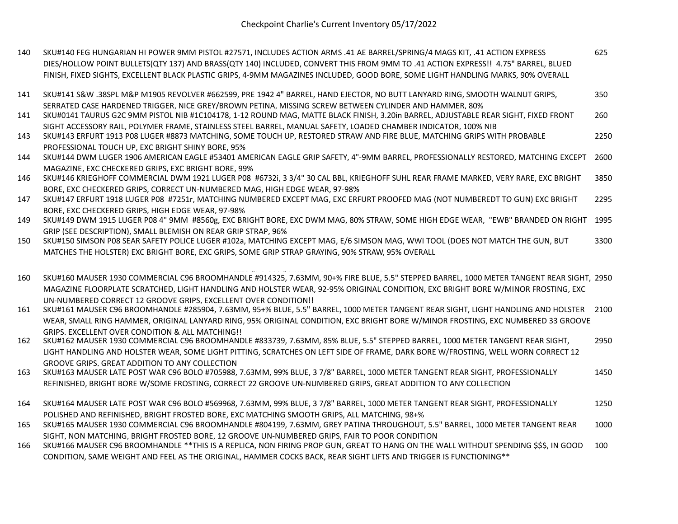- 140 SKU#140 FEG HUNGARIAN HI POWER 9MM PISTOL #27571, INCLUDES ACTION ARMS .41 AE BARREL/SPRING/4 MAGS KIT, .41 ACTION EXPRESS DIES/HOLLOW POINT BULLETS(QTY 137) AND BRASS(QTY 140) INCLUDED, CONVERT THIS FROM 9MM TO .41 ACTION EXPRESS!! 4.75" BARREL, BLUED FINISH, FIXED SIGHTS, EXCELLENT BLACK PLASTIC GRIPS, 4-9MM MAGAZINES INCLUDED, GOOD BORE, SOME LIGHT HANDLING MARKS, 90% OVERALL 625
- 141 SKU#141 S&W .38SPL M&P M1905 REVOLVER #662599, PRE 1942 4" BARREL, HAND EJECTOR, NO BUTT LANYARD RING, SMOOTH WALNUT GRIPS, SERRATED CASE HARDENED TRIGGER, NICE GREY/BROWN PETINA, MISSING SCREW BETWEEN CYLINDER AND HAMMER, 80% 350
- 141 SKU#0141 TAURUS G2C 9MM PISTOL NIB #1C104178, 1-12 ROUND MAG, MATTE BLACK FINISH, 3.20in BARREL, ADJUSTABLE REAR SIGHT, FIXED FRONT SIGHT ACCESSORY RAIL, POLYMER FRAME, STAINLESS STEEL BARREL, MANUAL SAFETY, LOADED CHAMBER INDICATOR, 100% NIB 260
- 143 SKU#143 ERFURT 1913 P08 LUGER #8873 MATCHING, SOME TOUCH UP, RESTORED STRAW AND FIRE BLUE, MATCHING GRIPS WITH PROBABLE PROFESSIONAL TOUCH UP, EXC BRIGHT SHINY BORE, 95% 2250
- 144 SKU#144 DWM LUGER 1906 AMERICAN EAGLE #53401 AMERICAN EAGLE GRIP SAFETY, 4"-9MM BARREL, PROFESSIONALLY RESTORED, MATCHING EXCEPT MAGAZINE, EXC CHECKERED GRIPS, EXC BRIGHT BORE, 99% 2600
- 146 SKU#146 KRIEGHOFF COMMERCIAL DWM 1921 LUGER P08 #6732i, 3 3/4" 30 CAL BBL, KRIEGHOFF SUHL REAR FRAME MARKED, VERY RARE, EXC BRIGHT BORE, EXC CHECKERED GRIPS, CORRECT UN-NUMBERED MAG, HIGH EDGE WEAR, 97-98% 3850
- 147 SKU#147 ERFURT 1918 LUGER P08 #7251r, MATCHING NUMBERED EXCEPT MAG, EXC ERFURT PROOFED MAG (NOT NUMBEREDT TO GUN) EXC BRIGHT BORE, EXC CHECKERED GRIPS, HIGH EDGE WEAR, 97-98% 2295
- 149 SKU#149 DWM 1915 LUGER P08 4" 9MM #8560g, EXC BRIGHT BORE, EXC DWM MAG, 80% STRAW, SOME HIGH EDGE WEAR, "EWB" BRANDED ON RIGHT 1995 GRIP (SEE DESCRIPTION), SMALL BLEMISH ON REAR GRIP STRAP, 96%
- 150 SKU#150 SIMSON P08 SEAR SAFETY POLICE LUGER #102a, MATCHING EXCEPT MAG, E/6 SIMSON MAG, WWI TOOL (DOES NOT MATCH THE GUN, BUT MATCHES THE HOLSTER) EXC BRIGHT BORE, EXC GRIPS, SOME GRIP STRAP GRAYING, 90% STRAW, 95% OVERALL 3300
- 160 SKU#160 MAUSER 1930 COMMERCIAL C96 BROOMHANDLE #914325, 7.63MM, 90+% FIRE BLUE, 5.5" STEPPED BARREL, 1000 METER TANGENT REAR SIGHT, 2950 MAGAZINE FLOORPLATE SCRATCHED, LIGHT HANDLING AND HOLSTER WEAR, 92-95% ORIGINAL CONDITION, EXC BRIGHT BORE W/MINOR FROSTING, EXC UN-NUMBERED CORRECT 12 GROOVE GRIPS, EXCELLENT OVER CONDITION!!
- 161 SKU#161 MAUSER C96 BROOMHANDLE #285904, 7.63MM, 95+% BLUE, 5.5" BARREL, 1000 METER TANGENT REAR SIGHT, LIGHT HANDLING AND HOLSTER 2100 WEAR, SMALL RING HAMMER, ORIGINAL LANYARD RING, 95% ORIGINAL CONDITION, EXC BRIGHT BORE W/MINOR FROSTING, EXC NUMBERED 33 GROOVE GRIPS, EXCELLENT OVER CONDITION & ALL MATCHING!!
- 162 SKU#162 MAUSER 1930 COMMERCIAL C96 BROOMHANDLE #833739, 7.63MM, 85% BLUE, 5.5" STEPPED BARREL, 1000 METER TANGENT REAR SIGHT, LIGHT HANDLING AND HOLSTER WEAR, SOME LIGHT PITTING, SCRATCHES ON LEFT SIDE OF FRAME, DARK BORE W/FROSTING, WELL WORN CORRECT 12 GROOVE GRIPS, GREAT ADDITION TO ANY COLLECTION 2950
- 163 SKU#163 MAUSER LATE POST WAR C96 BOLO #705988, 7.63MM, 99% BLUE, 3 7/8" BARREL, 1000 METER TANGENT REAR SIGHT, PROFESSIONALLY REFINISHED, BRIGHT BORE W/SOME FROSTING, CORRECT 22 GROOVE UN-NUMBERED GRIPS, GREAT ADDITION TO ANY COLLECTION 1450
- 164 SKU#164 MAUSER LATE POST WAR C96 BOLO #569968, 7.63MM, 99% BLUE, 3 7/8" BARREL, 1000 METER TANGENT REAR SIGHT, PROFESSIONALLY POLISHED AND REFINISHED, BRIGHT FROSTED BORE, EXC MATCHING SMOOTH GRIPS, ALL MATCHING, 98+% 1250
- 165 SKU#165 MAUSER 1930 COMMERCIAL C96 BROOMHANDLE #804199, 7.63MM, GREY PATINA THROUGHOUT, 5.5" BARREL, 1000 METER TANGENT REAR SIGHT, NON MATCHING, BRIGHT FROSTED BORE, 12 GROOVE UN-NUMBERED GRIPS, FAIR TO POOR CONDITION 1000
- 166 SKU#166 MAUSER C96 BROOMHANDLE \*\*THIS IS A REPLICA, NON FIRING PROP GUN, GREAT TO HANG ON THE WALL WITHOUT SPENDING \$\$\$, IN GOOD CONDITION, SAME WEIGHT AND FEEL AS THE ORIGINAL, HAMMER COCKS BACK, REAR SIGHT LIFTS AND TRIGGER IS FUNCTIONING\*\* 100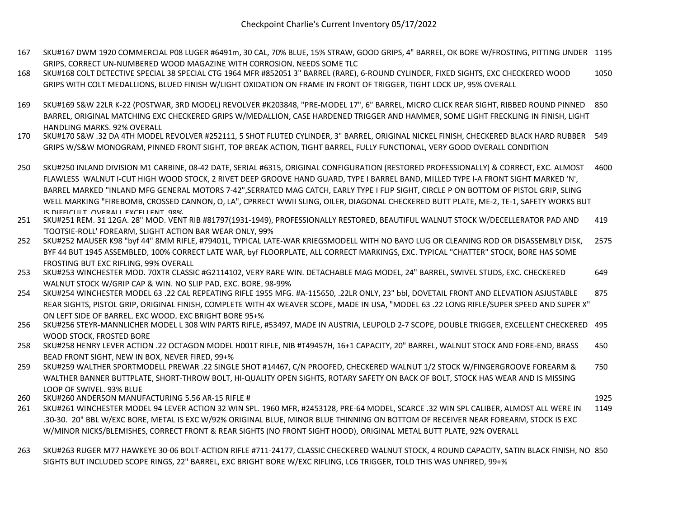- 167 SKU#167 DWM 1920 COMMERCIAL P08 LUGER #6491m, 30 CAL, 70% BLUE, 15% STRAW, GOOD GRIPS, 4" BARREL, OK BORE W/FROSTING, PITTING UNDER 1195 GRIPS, CORRECT UN-NUMBERED WOOD MAGAZINE WITH CORROSION, NEEDS SOME TLC
- 168 SKU#168 COLT DETECTIVE SPECIAL 38 SPECIAL CTG 1964 MFR #852051 3" BARREL (RARE), 6-ROUND CYLINDER, FIXED SIGHTS, EXC CHECKERED WOOD GRIPS WITH COLT MEDALLIONS, BLUED FINISH W/LIGHT OXIDATION ON FRAME IN FRONT OF TRIGGER, TIGHT LOCK UP, 95% OVERALL 1050
- 169 SKU#169 S&W 22LR K-22 (POSTWAR, 3RD MODEL) REVOLVER #K203848, "PRE-MODEL 17", 6" BARREL, MICRO CLICK REAR SIGHT, RIBBED ROUND PINNED 850 BARREL, ORIGINAL MATCHING EXC CHECKERED GRIPS W/MEDALLION, CASE HARDENED TRIGGER AND HAMMER, SOME LIGHT FRECKLING IN FINISH, LIGHT HANDLING MARKS, 92% OVERALL
- 170 SKU#170 S&W .32 DA 4TH MODEL REVOLVER #252111, 5 SHOT FLUTED CYLINDER, 3" BARREL, ORIGINAL NICKEL FINISH, CHECKERED BLACK HARD RUBBER 549 GRIPS W/S&W MONOGRAM, PINNED FRONT SIGHT, TOP BREAK ACTION, TIGHT BARREL, FULLY FUNCTIONAL, VERY GOOD OVERALL CONDITION
- 250 SKU#250 INLAND DIVISION M1 CARBINE, 08-42 DATE, SERIAL #6315, ORIGINAL CONFIGURATION (RESTORED PROFESSIONALLY) & CORRECT, EXC. ALMOST FLAWLESS WALNUT I-CUT HIGH WOOD STOCK, 2 RIVET DEEP GROOVE HAND GUARD, TYPE I BARREL BAND, MILLED TYPE I-A FRONT SIGHT MARKED 'N', BARREL MARKED "INLAND MFG GENERAL MOTORS 7-42",SERRATED MAG CATCH, EARLY TYPE I FLIP SIGHT, CIRCLE P ON BOTTOM OF PISTOL GRIP, SLING WELL MARKING "FIREBOMB, CROSSED CANNON, O, LA", CPRRECT WWII SLING, OILER, DIAGONAL CHECKERED BUTT PLATE, ME-2, TE-1, SAFETY WORKS BUT IS DIFFICULT, OVERALL EXCELLENT, 98% 4600
- 251 SKU#251 REM. 31 12GA. 28" MOD. VENT RIB #81797(1931-1949), PROFESSIONALLY RESTORED, BEAUTIFUL WALNUT STOCK W/DECELLERATOR PAD AND 'TOOTSIE-ROLL' FOREARM, SLIGHT ACTION BAR WEAR ONLY, 99% 419
- 252 SKU#252 MAUSER K98 "byf 44" 8MM RIFLE, #79401L, TYPICAL LATE-WAR KRIEGSMODELL WITH NO BAYO LUG OR CLEANING ROD OR DISASSEMBLY DISK, BYF 44 BUT 1945 ASSEMBLED, 100% CORRECT LATE WAR, byf FLOORPLATE, ALL CORRECT MARKINGS, EXC. TYPICAL "CHATTER" STOCK, BORE HAS SOME FROSTING BUT EXC RIFLING, 99% OVERALL 2575
- 253 SKU#253 WINCHESTER MOD. 70XTR CLASSIC #G2114102, VERY RARE WIN. DETACHABLE MAG MODEL, 24" BARREL, SWIVEL STUDS, EXC. CHECKERED WALNUT STOCK W/GRIP CAP & WIN. NO SLIP PAD, EXC. BORE, 98-99% 649
- 254 SKU#254 WINCHESTER MODEL 63 .22 CAL REPEATING RIFLE 1955 MFG. #A-115650, .22LR ONLY, 23" bbl, DOVETAIL FRONT AND ELEVATION ASJUSTABLE REAR SIGHTS, PISTOL GRIP, ORIGINAL FINISH, COMPLETE WITH 4X WEAVER SCOPE, MADE IN USA, "MODEL 63 .22 LONG RIFLE/SUPER SPEED AND SUPER X" ON LEFT SIDE OF BARREL, EXC WOOD, EXC BRIGHT BORE 95+% 875
- 256 SKU#256 STEYR-MANNLICHER MODEL L 308 WIN PARTS RIFLE, #53497, MADE IN AUSTRIA, LEUPOLD 2-7 SCOPE, DOUBLE TRIGGER, EXCELLENT CHECKERED 495 WOOD STOCK, FROSTED BORE
- 258 SKU#258 HENRY LEVER ACTION .22 OCTAGON MODEL H001T RIFLE, NIB #T49457H, 16+1 CAPACITY, 20" BARREL, WALNUT STOCK AND FORE-END, BRASS BEAD FRONT SIGHT, NEW IN BOX, NEVER FIRED, 99+% 450
- 259 SKU#259 WALTHER SPORTMODELL PREWAR .22 SINGLE SHOT #14467, C/N PROOFED, CHECKERED WALNUT 1/2 STOCK W/FINGERGROOVE FOREARM & WALTHER BANNER BUTTPLATE, SHORT-THROW BOLT, HI-QUALITY OPEN SIGHTS, ROTARY SAFETY ON BACK OF BOLT, STOCK HAS WEAR AND IS MISSING LOOP OF SWIVEL, 93% BLUE 750
- 260 SKU#260 ANDERSON MANUFACTURING 5.56 AR-15 RIFLE # 1925

- 261 SKU#261 WINCHESTER MODEL 94 LEVER ACTION 32 WIN SPL. 1960 MFR, #2453128, PRE-64 MODEL, SCARCE .32 WIN SPL CALIBER, ALMOST ALL WERE IN .30-30. 20" BBL W/EXC BORE, METAL IS EXC W/92% ORIGINAL BLUE, MINOR BLUE THINNING ON BOTTOM OF RECEIVER NEAR FOREARM, STOCK IS EXC W/MINOR NICKS/BLEMISHES, CORRECT FRONT & REAR SIGHTS (NO FRONT SIGHT HOOD), ORIGINAL METAL BUTT PLATE, 92% OVERALL 1149
- 263 SKU#263 RUGER M77 HAWKEYE 30-06 BOLT-ACTION RIFLE #711-24177, CLASSIC CHECKERED WALNUT STOCK, 4 ROUND CAPACITY, SATIN BLACK FINISH, NO 850SIGHTS BUT INCLUDED SCOPE RINGS, 22" BARREL, EXC BRIGHT BORE W/EXC RIFLING, LC6 TRIGGER, TOLD THIS WAS UNFIRED, 99+%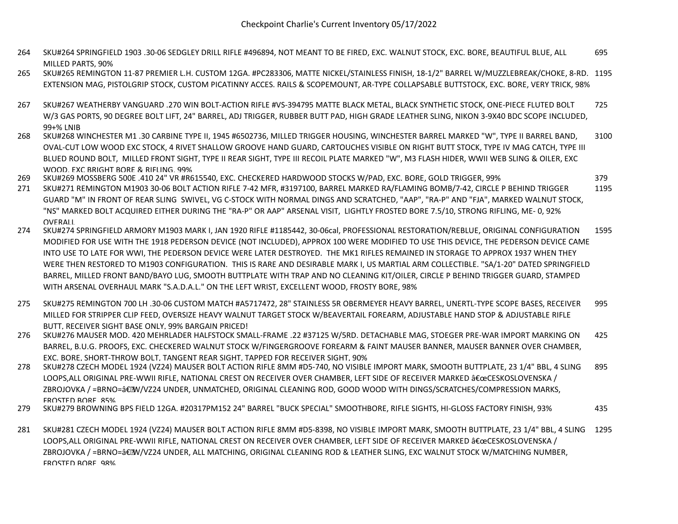- 264 SKU#264 SPRINGFIELD 1903 .30-06 SEDGLEY DRILL RIFLE #496894, NOT MEANT TO BE FIRED, EXC. WALNUT STOCK, EXC. BORE, BEAUTIFUL BLUE, ALL MILLED PARTS, 90% 695
- 265 SKU#265 REMINGTON 11-87 PREMIER L.H. CUSTOM 12GA. #PC283306, MATTE NICKEL/STAINLESS FINISH, 18-1/2" BARREL W/MUZZLEBREAK/CHOKE, 8-RD. 1195 EXTENSION MAG, PISTOLGRIP STOCK, CUSTOM PICATINNY ACCES. RAILS & SCOPEMOUNT, AR-TYPE COLLAPSABLE BUTTSTOCK, EXC. BORE, VERY TRICK, 98%
- 267 SKU#267 WEATHERBY VANGUARD .270 WIN BOLT-ACTION RIFLE #VS-394795 MATTE BLACK METAL, BLACK SYNTHETIC STOCK, ONE-PIECE FLUTED BOLT W/3 GAS PORTS, 90 DEGREE BOLT LIFT, 24" BARREL, ADJ TRIGGER, RUBBER BUTT PAD, HIGH GRADE LEATHER SLING, NIKON 3-9X40 BDC SCOPE INCLUDED, 99+% LNIB 725
- 268 SKU#268 WINCHESTER M1 .30 CARBINE TYPE II, 1945 #6502736, MILLED TRIGGER HOUSING, WINCHESTER BARREL MARKED "W", TYPE II BARREL BAND, OVAL-CUT LOW WOOD EXC STOCK, 4 RIVET SHALLOW GROOVE HAND GUARD, CARTOUCHES VISIBLE ON RIGHT BUTT STOCK, TYPE IV MAG CATCH, TYPE III BLUED ROUND BOLT, MILLED FRONT SIGHT, TYPE II REAR SIGHT, TYPE III RECOIL PLATE MARKED "W", M3 FLASH HIDER, WWII WEB SLING & OILER, EXC WOOD, EXC BRIGHT BORE & RIFLING, 99% 3100
- 269 SKU#269 MOSSBERG 500E .410 24" VR #R615540, EXC. CHECKERED HARDWOOD STOCKS W/PAD, EXC. BORE, GOLD TRIGGER, 99% 379
- 271 SKU#271 REMINGTON M1903 30-06 BOLT ACTION RIFLE 7-42 MFR, #3197100, BARREL MARKED RA/FLAMING BOMB/7-42, CIRCLE P BEHIND TRIGGER GUARD "M" IN FRONT OF REAR SLING SWIVEL, VG C-STOCK WITH NORMAL DINGS AND SCRATCHED, "AAP", "RA-P" AND "FJA", MARKED WALNUT STOCK, "NS" MARKED BOLT ACQUIRED EITHER DURING THE "RA-P" OR AAP" ARSENAL VISIT, LIGHTLY FROSTED BORE 7.5/10, STRONG RIFLING, ME- 0, 92% **OVERALL** 1195
- 274 SKU#274 SPRINGFIELD ARMORY M1903 MARK I, JAN 1920 RIFLE #1185442, 30-06cal, PROFESSIONAL RESTORATION/REBLUE, ORIGINAL CONFIGURATION MODIFIED FOR USE WITH THE 1918 PEDERSON DEVICE (NOT INCLUDED), APPROX 100 WERE MODIFIED TO USE THIS DEVICE, THE PEDERSON DEVICE CAME INTO USE TO LATE FOR WWI, THE PEDERSON DEVICE WERE LATER DESTROYED. THE MK1 RIFLES REMAINED IN STORAGE TO APPROX 1937 WHEN THEY WERE THEN RESTORED TO M1903 CONFIGURATION. THIS IS RARE AND DESIRABLE MARK I, US MARTIAL ARM COLLECTIBLE. "SA/1-20" DATED SPRINGFIELD BARREL, MILLED FRONT BAND/BAYO LUG, SMOOTH BUTTPLATE WITH TRAP AND NO CLEANING KIT/OILER, CIRCLE P BEHIND TRIGGER GUARD, STAMPED WITH ARSENAL OVERHAUL MARK "S.A.D.A.L." ON THE LEFT WRIST, EXCELLENT WOOD, FROSTY BORE, 98% 1595
- 275 SKU#275 REMINGTON 700 LH .30-06 CUSTOM MATCH #A5717472, 28" STAINLESS 5R OBERMEYER HEAVY BARREL, UNERTL-TYPE SCOPE BASES, RECEIVER MILLED FOR STRIPPER CLIP FEED, OVERSIZE HEAVY WALNUT TARGET STOCK W/BEAVERTAIL FOREARM, ADJUSTABLE HAND STOP & ADJUSTABLE RIFLE BUTT, RECEIVER SIGHT BASE ONLY, 99% BARGAIN PRICED! 995
- 276 SKU#276 MAUSER MOD. 420 MEHRLADER HALFSTOCK SMALL-FRAME .22 #37125 W/5RD. DETACHABLE MAG, STOEGER PRE-WAR IMPORT MARKING ON BARREL, B.U.G. PROOFS, EXC. CHECKERED WALNUT STOCK W/FINGERGROOVE FOREARM & FAINT MAUSER BANNER, MAUSER BANNER OVER CHAMBER, EXC. BORE, SHORT-THROW BOLT, TANGENT REAR SIGHT, TAPPED FOR RECEIVER SIGHT, 90% 425
- 278 SKU#278 CZECH MODEL 1924 (VZ24) MAUSER BOLT ACTION RIFLE 8MM #D5-740, NO VISIBLE IMPORT MARK, SMOOTH BUTTPLATE, 23 1/4" BBL, 4 SLING LOOPS,ALL ORIGINAL PRE-WWII RIFLE, NATIONAL CREST ON RECEIVER OVER CHAMBER, LEFT SIDE OF RECEIVER MARKED "CESKOSLOVENSKA / ZBROJOVKA / =BRNO=―W/VZ24 UNDER, UNMATCHED, ORIGINAL CLEANING ROD, GOOD WOOD WITH DINGS/SCRATCHES/COMPRESSION MARKS, FROSTED BORE, 85% 895
- 279 SKU#279 BROWNING BPS FIELD 12GA. #20317PM152 24" BARREL "BUCK SPECIAL" SMOOTHBORE, RIFLE SIGHTS, HI-GLOSS FACTORY FINISH, 93% 435
- 281 SKU#281 CZECH MODEL 1924 (VZ24) MAUSER BOLT ACTION RIFLE 8MM #D5-8398, NO VISIBLE IMPORT MARK, SMOOTH BUTTPLATE, 23 1/4" BBL, 4 SLING 1295LOOPS,ALL ORIGINAL PRE-WWII RIFLE, NATIONAL CREST ON RECEIVER OVER CHAMBER, LEFT SIDE OF RECEIVER MARKED "CESKOSLOVENSKA / ZBROJOVKA / =BRNO=―W/VZ24 UNDER, ALL MATCHING, ORIGINAL CLEANING ROD & LEATHER SLING, EXC WALNUT STOCK W/MATCHING NUMBER, FROSTED BORE, 98%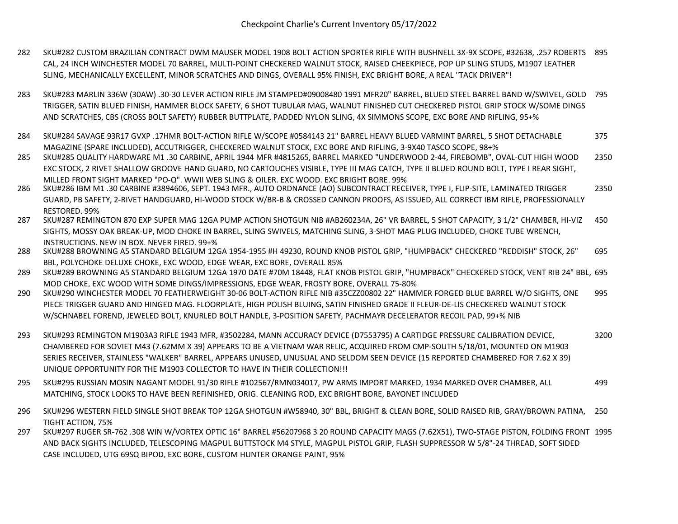- 282 SKU#282 CUSTOM BRAZILIAN CONTRACT DWM MAUSER MODEL 1908 BOLT ACTION SPORTER RIFLE WITH BUSHNELL 3X-9X SCOPE, #32638, .257 ROBERTS 895 CAL, 24 INCH WINCHESTER MODEL 70 BARREL, MULTI-POINT CHECKERED WALNUT STOCK, RAISED CHEEKPIECE, POP UP SLING STUDS, M1907 LEATHER SLING, MECHANICALLY EXCELLENT, MINOR SCRATCHES AND DINGS, OVERALL 95% FINISH, EXC BRIGHT BORE, A REAL "TACK DRIVER"!
- 283 SKU#283 MARLIN 336W (30AW) .30-30 LEVER ACTION RIFLE JM STAMPED#09008480 1991 MFR20" BARREL, BLUED STEEL BARREL BAND W/SWIVEL, GOLD 795 TRIGGER, SATIN BLUED FINISH, HAMMER BLOCK SAFETY, 6 SHOT TUBULAR MAG, WALNUT FINISHED CUT CHECKERED PISTOL GRIP STOCK W/SOME DINGS AND SCRATCHES, CBS (CROSS BOLT SAFETY) RUBBER BUTTPLATE, PADDED NYLON SLING, 4X SIMMONS SCOPE, EXC BORE AND RIFLING, 95+%
- 284 SKU#284 SAVAGE 93R17 GVXP .17HMR BOLT-ACTION RIFLE W/SCOPE #0584143 21" BARREL HEAVY BLUED VARMINT BARREL, 5 SHOT DETACHABLE MAGAZINE (SPARE INCLUDED), ACCUTRIGGER, CHECKERED WALNUT STOCK, EXC BORE AND RIFLING, 3-9X40 TASCO SCOPE, 98+% 375
- 285 SKU#285 QUALITY HARDWARE M1 .30 CARBINE, APRIL 1944 MFR #4815265, BARREL MARKED "UNDERWOOD 2-44, FIREBOMB", OVAL-CUT HIGH WOOD EXC STOCK, 2 RIVET SHALLOW GROOVE HAND GUARD, NO CARTOUCHES VISIBLE, TYPE III MAG CATCH, TYPE II BLUED ROUND BOLT, TYPE I REAR SIGHT, MILLED FRONT SIGHT MARKED "PO-Q", WWII WEB SLING & OILER, EXC WOOD, EXC BRIGHT BORE, 99% 2350
- 286 SKU#286 IBM M1 .30 CARBINE #3894606, SEPT. 1943 MFR., AUTO ORDNANCE (AO) SUBCONTRACT RECEIVER, TYPE I, FLIP-SITE, LAMINATED TRIGGER GUARD, PB SAFETY, 2-RIVET HANDGUARD, HI-WOOD STOCK W/BR-B & CROSSED CANNON PROOFS, AS ISSUED, ALL CORRECT IBM RIFLE, PROFESSIONALLY RESTORED, 99% 2350
- 287 SKU#287 REMINGTON 870 EXP SUPER MAG 12GA PUMP ACTION SHOTGUN NIB #AB260234A, 26" VR BARREL, 5 SHOT CAPACITY, 3 1/2" CHAMBER, HI-VIZ SIGHTS, MOSSY OAK BREAK-UP, MOD CHOKE IN BARREL, SLING SWIVELS, MATCHING SLING, 3-SHOT MAG PLUG INCLUDED, CHOKE TUBE WRENCH, INSTRUCTIONS, NEW IN BOX, NEVER FIRED, 99+% 450
- 288 SKU#288 BROWNING A5 STANDARD BELGIUM 12GA 1954-1955 #H 49230, ROUND KNOB PISTOL GRIP, "HUMPBACK" CHECKERED "REDDISH" STOCK, 26" BBL, POLYCHOKE DELUXE CHOKE, EXC WOOD, EDGE WEAR, EXC BORE, OVERALL 85% 695
- 289 SKU#289 BROWNING A5 STANDARD BELGIUM 12GA 1970 DATE #70M 18448, FLAT KNOB PISTOL GRIP, "HUMPBACK" CHECKERED STOCK, VENT RIB 24" BBL, 695 MOD CHOKE, EXC WOOD WITH SOME DINGS/IMPRESSIONS, EDGE WEAR, FROSTY BORE, OVERALL 75-80%
- 290 SKU#290 WINCHESTER MODEL 70 FEATHERWEIGHT 30-06 BOLT-ACTION RIFLE NIB #35CZZ00802 22" HAMMER FORGED BLUE BARREL W/O SIGHTS, ONE PIECE TRIGGER GUARD AND HINGED MAG. FLOORPLATE, HIGH POLISH BLUING, SATIN FINISHED GRADE II FLEUR-DE-LIS CHECKERED WALNUT STOCK W/SCHNABEL FOREND, JEWELED BOLT, KNURLED BOLT HANDLE, 3-POSITION SAFETY, PACHMAYR DECELERATOR RECOIL PAD, 99+% NIB 995
- 293 SKU#293 REMINGTON M1903A3 RIFLE 1943 MFR, #3502284, MANN ACCURACY DEVICE (D7553795) A CARTIDGE PRESSURE CALIBRATION DEVICE, CHAMBERED FOR SOVIET M43 (7.62MM X 39) APPEARS TO BE A VIETNAM WAR RELIC, ACQUIRED FROM CMP-SOUTH 5/18/01, MOUNTED ON M1903 SERIES RECEIVER, STAINLESS "WALKER" BARREL, APPEARS UNUSED, UNUSUAL AND SELDOM SEEN DEVICE (15 REPORTED CHAMBERED FOR 7.62 X 39) UNIQUE OPPORTUNITY FOR THE M1903 COLLECTOR TO HAVE IN THEIR COLLECTION!!! 3200
- 295 SKU#295 RUSSIAN MOSIN NAGANT MODEL 91/30 RIFLE #102567/RMN034017, PW ARMS IMPORT MARKED, 1934 MARKED OVER CHAMBER, ALL MATCHING, STOCK LOOKS TO HAVE BEEN REFINISHED, ORIG. CLEANING ROD, EXC BRIGHT BORE, BAYONET INCLUDED 499
- 296 SKU#296 WESTERN FIELD SINGLE SHOT BREAK TOP 12GA SHOTGUN #W58940, 30" BBL, BRIGHT & CLEAN BORE, SOLID RAISED RIB, GRAY/BROWN PATINA, TIGHT ACTION, 75% 250
- 297 SKU#297 RUGER SR-762 .308 WIN W/VORTEX OPTIC 16" BARREL #56207968 3 20 ROUND CAPACITY MAGS (7.62X51), TWO-STAGE PISTON, FOLDING FRONT 1995AND BACK SIGHTS INCLUDED, TELESCOPING MAGPUL BUTTSTOCK M4 STYLE, MAGPUL PISTOL GRIP, FLASH SUPPRESSOR W 5/8"-24 THREAD, SOFT SIDED CASE INCLUDED, UTG 69SQ BIPOD, EXC BORE, CUSTOM HUNTER ORANGE PAINT, 95%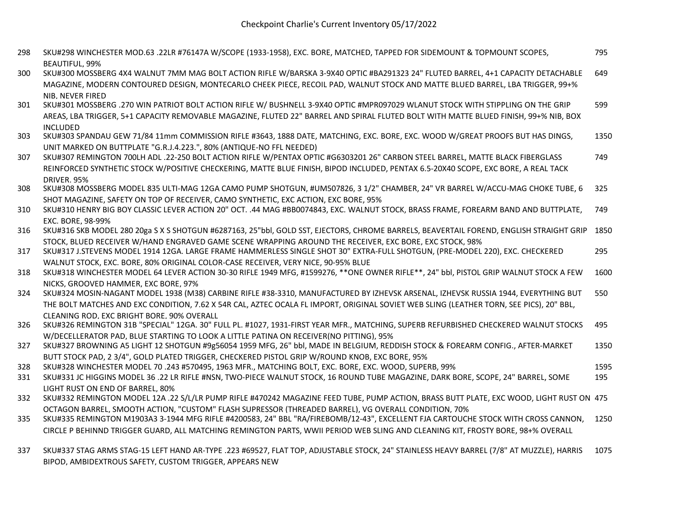- 298 SKU#298 WINCHESTER MOD.63 .22LR #76147A W/SCOPE (1933-1958), EXC. BORE, MATCHED, TAPPED FOR SIDEMOUNT & TOPMOUNT SCOPES, BEAUTIFUL, 99% 795
- 300 SKU#300 MOSSBERG 4X4 WALNUT 7MM MAG BOLT ACTION RIFLE W/BARSKA 3-9X40 OPTIC #BA291323 24" FLUTED BARREL, 4+1 CAPACITY DETACHABLE MAGAZINE, MODERN CONTOURED DESIGN, MONTECARLO CHEEK PIECE, RECOIL PAD, WALNUT STOCK AND MATTE BLUED BARREL, LBA TRIGGER, 99+% NIB, NEVER FIRED 649
- 301 SKU#301 MOSSBERG .270 WIN PATRIOT BOLT ACTION RIFLE W/ BUSHNELL 3-9X40 OPTIC #MPR097029 WLANUT STOCK WITH STIPPLING ON THE GRIP AREAS, LBA TRIGGER, 5+1 CAPACITY REMOVABLE MAGAZINE, FLUTED 22" BARREL AND SPIRAL FLUTED BOLT WITH MATTE BLUED FINISH, 99+% NIB, BOX INCLUDED 599
- 303 SKU#303 SPANDAU GEW 71/84 11mm COMMISSION RIFLE #3643, 1888 DATE, MATCHING, EXC. BORE, EXC. WOOD W/GREAT PROOFS BUT HAS DINGS, UNIT MARKED ON BUTTPLATE "G.R.J.4.223.", 80% (ANTIQUE-NO FFL NEEDED) 1350
- 307 SKU#307 REMINGTON 700LH ADL .22-250 BOLT ACTION RIFLE W/PENTAX OPTIC #G6303201 26" CARBON STEEL BARREL, MATTE BLACK FIBERGLASS REINFORCED SYNTHETIC STOCK W/POSITIVE CHECKERING, MATTE BLUE FINISH, BIPOD INCLUDED, PENTAX 6.5-20X40 SCOPE, EXC BORE, A REAL TACK DRIVER, 95% 749
- 308 SKU#308 MOSSBERG MODEL 835 ULTI-MAG 12GA CAMO PUMP SHOTGUN, #UM507826, 3 1/2" CHAMBER, 24" VR BARREL W/ACCU-MAG CHOKE TUBE, 6 SHOT MAGAZINE, SAFETY ON TOP OF RECEIVER, CAMO SYNTHETIC, EXC ACTION, EXC BORE, 95% 325
- 310 SKU#310 HENRY BIG BOY CLASSIC LEVER ACTION 20" OCT. .44 MAG #BB0074843, EXC. WALNUT STOCK, BRASS FRAME, FOREARM BAND AND BUTTPLATE, EXC. BORE, 98-99% 749
- 316 SKU#316 SKB MODEL 280 20ga S X S SHOTGUN #6287163, 25"bbl, GOLD SST, EJECTORS, CHROME BARRELS, BEAVERTAIL FOREND, ENGLISH STRAIGHT GRIP 1850 STOCK, BLUED RECEIVER W/HAND ENGRAVED GAME SCENE WRAPPING AROUND THE RECEIVER, EXC BORE, EXC STOCK, 98%
- 317 SKU#317 J.STEVENS MODEL 1914 12GA. LARGE FRAME HAMMERLESS SINGLE SHOT 30" EXTRA-FULL SHOTGUN, (PRE-MODEL 220), EXC. CHECKERED WALNUT STOCK, EXC. BORE, 80% ORIGINAL COLOR-CASE RECEIVER, VERY NICE, 90-95% BLUE 295
- 318 SKU#318 WINCHESTER MODEL 64 LEVER ACTION 30-30 RIFLE 1949 MFG, #1599276, \*\*ONE OWNER RIFLE\*\*, 24" bbl, PISTOL GRIP WALNUT STOCK A FEW NICKS, GROOVED HAMMER, EXC BORE, 97% 1600
- 324 SKU#324 MOSIN-NAGANT MODEL 1938 (M38) CARBINE RIFLE #38-3310, MANUFACTURED BY IZHEVSK ARSENAL, IZHEVSK RUSSIA 1944, EVERYTHING BUT THE BOLT MATCHES AND EXC CONDITION, 7.62 X 54R CAL, AZTEC OCALA FL IMPORT, ORIGINAL SOVIET WEB SLING (LEATHER TORN, SEE PICS), 20" BBL, CLEANING ROD, EXC BRIGHT BORE, 90% OVERALL 550
- 326 SKU#326 REMINGTON 31B "SPECIAL" 12GA. 30" FULL PL. #1027, 1931-FIRST YEAR MFR., MATCHING, SUPERB REFURBISHED CHECKERED WALNUT STOCKS W/DECELLERATOR PAD, BLUE STARTING TO LOOK A LITTLE PATINA ON RECEIVER(NO PITTING), 95% 495
- 327 SKU#327 BROWNING A5 LIGHT 12 SHOTGUN #9g56054 1959 MFG, 26" bbl, MADE IN BELGIUM, REDDISH STOCK & FOREARM CONFIG., AFTER-MARKET BUTT STOCK PAD, 2 3/4", GOLD PLATED TRIGGER, CHECKERED PISTOL GRIP W/ROUND KNOB, EXC BORE, 95% 1350
- 328 SKU#328 WINCHESTER MODEL 70 .243 #570495, 1963 MFR., MATCHING BOLT, EXC. BORE, EXC. WOOD, SUPERB, 99% 1595
- 331 SKU#331 JC HIGGINS MODEL 36 .22 LR RIFLE #NSN, TWO-PIECE WALNUT STOCK, 16 ROUND TUBE MAGAZINE, DARK BORE, SCOPE, 24" BARREL, SOME LIGHT RUST ON END OF BARREL, 80% 195
- 332 SKU#332 REMINGTON MODEL 12A .22 S/L/LR PUMP RIFLE #470242 MAGAZINE FEED TUBE, PUMP ACTION, BRASS BUTT PLATE, EXC WOOD, LIGHT RUST ON 475 OCTAGON BARREL, SMOOTH ACTION, "CUSTOM" FLASH SUPRESSOR (THREADED BARREL), VG OVERALL CONDITION, 70%
- 335 SKU#335 REMINGTON M1903A3 3-1944 MFG RIFLE #4200583, 24" BBL "RA/FIREBOMB/12-43", EXCELLENT FJA CARTOUCHE STOCK WITH CROSS CANNON, CIRCLE P BEHINND TRIGGER GUARD, ALL MATCHING REMINGTON PARTS, WWII PERIOD WEB SLING AND CLEANING KIT, FROSTY BORE, 98+% OVERALL 1250
- 337 SKU#337 STAG ARMS STAG-15 LEFT HAND AR-TYPE .223 #69527, FLAT TOP, ADJUSTABLE STOCK, 24" STAINLESS HEAVY BARREL (7/8" AT MUZZLE), HARRIS BIPOD, AMBIDEXTROUS SAFETY, CUSTOM TRIGGER, APPEARS NEW 1075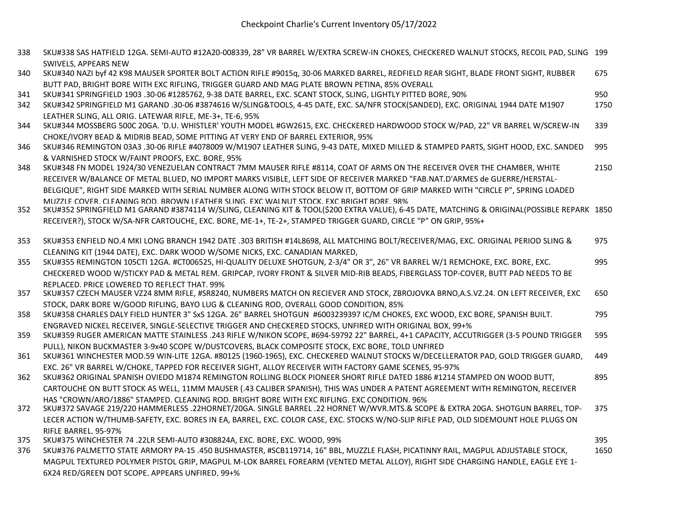- 338 SKU#338 SAS HATFIELD 12GA. SEMI-AUTO #12A20-008339, 28" VR BARREL W/EXTRA SCREW-IN CHOKES, CHECKERED WALNUT STOCKS, RECOIL PAD, SLING 199 SWIVELS, APPEARS NEW
- 340 SKU#340 NAZI byf 42 K98 MAUSER SPORTER BOLT ACTION RIFLE #9015q, 30-06 MARKED BARREL, REDFIELD REAR SIGHT, BLADE FRONT SIGHT, RUBBER BUTT PAD, BRIGHT BORE WITH EXC RIFLING, TRIGGER GUARD AND MAG PLATE BROWN PETINA, 85% OVERALL 675
- 341 SKU#341 SPRINGFIELD 1903 .30-06 #1285762, 9-38 DATE BARREL, EXC. SCANT STOCK, SLING, LIGHTLY PITTED BORE, 90% 950
- 342 SKU#342 SPRINGFIELD M1 GARAND .30-06 #3874616 W/SLING&TOOLS, 4-45 DATE, EXC. SA/NFR STOCK(SANDED), EXC. ORIGINAL 1944 DATE M1907 LEATHER SLING, ALL ORIG. LATEWAR RIFLE, ME-3+, TE-6, 95% 1750
- 344 SKU#344 MOSSBERG 500C 20GA. 'D.U. WHISTLER' YOUTH MODEL #GW2615, EXC. CHECKERED HARDWOOD STOCK W/PAD, 22" VR BARREL W/SCREW-IN CHOKE/IVORY BEAD & MIDRIB BEAD, SOME PITTING AT VERY END OF BARREL EXTERIOR, 95% 339
- 346 SKU#346 REMINGTON 03A3 .30-06 RIFLE #4078009 W/M1907 LEATHER SLING, 9-43 DATE, MIXED MILLED & STAMPED PARTS, SIGHT HOOD, EXC. SANDED & VARNISHED STOCK W/FAINT PROOFS, EXC. BORE, 95% 995
- 348 SKU#348 FN MODEL 1924/30 VENEZUELAN CONTRACT 7MM MAUSER RIFLE #8114, COAT OF ARMS ON THE RECEIVER OVER THE CHAMBER, WHITE RECEIVER W/BALANCE OF METAL BLUED, NO IMPORT MARKS VISIBLE, LEFT SIDE OF RECEIVER MARKED "FAB.NAT.D'ARMES de GUERRE/HERSTAL-BELGIQUE", RIGHT SIDE MARKED WITH SERIAL NUMBER ALONG WITH STOCK BELOW IT, BOTTOM OF GRIP MARKED WITH "CIRCLE P", SPRING LOADED MUZZLE COVER, CLEANING ROD, BROWN LEATHER SLING, EXC WALNUT STOCK, EXC BRIGHT BORE, 98% 2150
- 352 SKU#352 SPRINGFIELD M1 GARAND #3874114 W/SLING, CLEANING KIT & TOOL(\$200 EXTRA VALUE), 6-45 DATE, MATCHING & ORIGINAL(POSSIBLE REPARK 1850 RECEIVER?), STOCK W/SA-NFR CARTOUCHE, EXC. BORE, ME-1+, TE-2+, STAMPED TRIGGER GUARD, CIRCLE "P" ON GRIP, 95%+
- 353 SKU#353 ENFIELD NO.4 MKI LONG BRANCH 1942 DATE .303 BRITISH #14L8698, ALL MATCHING BOLT/RECEIVER/MAG, EXC. ORIGINAL PERIOD SLING & CLEANING KIT (1944 DATE), EXC. DARK WOOD W/SOME NICKS, EXC. CANADIAN MARKED, 975
- 355 SKU#355 REMINGTON 105CTI 12GA. #CT006525, HI-QUALITY DELUXE SHOTGUN, 2-3/4" OR 3", 26" VR BARREL W/1 REMCHOKE, EXC. BORE, EXC. CHECKERED WOOD W/STICKY PAD & METAL REM. GRIPCAP, IVORY FRONT & SILVER MID-RIB BEADS, FIBERGLASS TOP-COVER, BUTT PAD NEEDS TO BE REPLACED, PRICE LOWERED TO REFLECT THAT, 99% 995
- 357 SKU#357 CZECH MAUSER VZ24 8MM RIFLE, #SR8240, NUMBERS MATCH ON RECIEVER AND STOCK, ZBROJOVKA BRNO,A.S.VZ.24. ON LEFT RECEIVER, EXC STOCK, DARK BORE W/GOOD RIFLING, BAYO LUG & CLEANING ROD, OVERALL GOOD CONDITION, 85% 650
- 358 SKU#358 CHARLES DALY FIELD HUNTER 3" SxS 12GA. 26" BARREL SHOTGUN #6003239397 IC/M CHOKES, EXC WOOD, EXC BORE, SPANISH BUILT. ENGRAVED NICKEL RECEIVER, SINGLE-SELECTIVE TRIGGER AND CHECKERED STOCKS, UNFIRED WITH ORIGINAL BOX, 99+% 795
- 359 SKU#359 RUGER AMERICAN MATTE STAINLESS .243 RIFLE W/NIKON SCOPE, #694-59792 22" BARREL, 4+1 CAPACITY, ACCUTRIGGER (3-5 POUND TRIGGER PULL), NIKON BUCKMASTER 3-9x40 SCOPE W/DUSTCOVERS, BLACK COMPOSITE STOCK, EXC BORE, TOLD UNFIRED 595
- 361 SKU#361 WINCHESTER MOD.59 WIN-LITE 12GA. #80125 (1960-1965), EXC. CHECKERED WALNUT STOCKS W/DECELLERATOR PAD, GOLD TRIGGER GUARD, EXC. 26" VR BARREL W/CHOKE, TAPPED FOR RECEIVER SIGHT, ALLOY RECEIVER WITH FACTORY GAME SCENES, 95-97% 449
- 362 SKU#362 ORIGINAL SPANISH OVIEDO M1874 REMINGTON ROLLING BLOCK PIONEER SHORT RIFLE DATED 1886 #1214 STAMPED ON WOOD BUTT, CARTOUCHE ON BUTT STOCK AS WELL, 11MM MAUSER (.43 CALIBER SPANISH), THIS WAS UNDER A PATENT AGREEMENT WITH REMINGTON, RECEIVER HAS "CROWN/ARO/1886" STAMPED, CLEANING ROD, BRIGHT BORE WITH EXC RIFLING, EXC CONDITION, 96% 895
- 372 SKU#372 SAVAGE 219/220 HAMMERLESS .22HORNET/20GA. SINGLE BARREL .22 HORNET W/WVR.MTS.& SCOPE & EXTRA 20GA. SHOTGUN BARREL, TOP-LECER ACTION W/THUMB-SAFETY, EXC. BORES IN EA, BARREL, EXC. COLOR CASE, EXC. STOCKS W/NO-SLIP RIFLE PAD, OLD SIDEMOUNT HOLE PLUGS ON RIFLE BARREL, 95-97% 375
- 375 SKU#375 WINCHESTER 74 .22LR SEMI-AUTO #308824A, EXC. BORE, EXC. WOOD, 99% 395
	-
- 376 SKU#376 PALMETTO STATE ARMORY PA-15 .450 BUSHMASTER, #SCB119714, 16" BBL, MUZZLE FLASH, PICATINNY RAIL, MAGPUL ADJUSTABLE STOCK, MAGPUL TEXTURED POLYMER PISTOL GRIP, MAGPUL M-LOK BARREL FOREARM (VENTED METAL ALLOY), RIGHT SIDE CHARGING HANDLE, EAGLE EYE 1- 6X24 RED/GREEN DOT SCOPE, APPEARS UNFIRED, 99+% 1650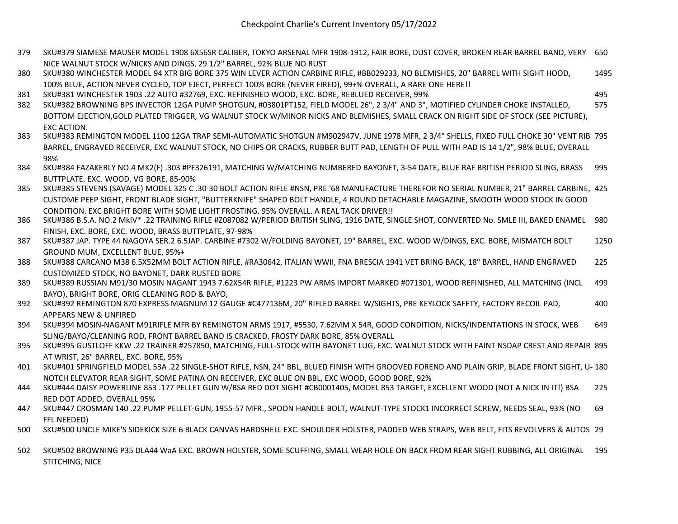- 379 SKU#379 SIAMESE MAUSER MODEL 1908 6X56SR CALIBER, TOKYO ARSENAL MFR 1908-1912, FAIR BORE, DUST COVER, BROKEN REAR BARREL BAND, VERY 650 NICE WALNUT STOCK W/NICKS AND DINGS, 29 1/2" BARREL, 92% BLUE NO RUST
- 380 SKU#380 WINCHESTER MODEL 94 XTR BIG BORE 375 WIN LEVER ACTION CARBINE RIFLE, #BB029233, NO BLEMISHES, 20" BARREL WITH SIGHT HOOD, 100% BLUE, ACTION NEVER CYCLED, TOP EJECT, PERFECT 100% BORE (NEVER FIRED), 99+% OVERALL, A RARE ONE HERE!! 1495
- 381 SKU#381 WINCHESTER 1903 .22 AUTO #32769, EXC. REFINISHED WOOD, EXC. BORE, REBLUED RECEIVER, 99% 495
	-
- 382 SKU#382 BROWNING BPS INVECTOR 12GA PUMP SHOTGUN, #03801PT152, FIELD MODEL 26", 2 3/4" AND 3", MOTIFIED CYLINDER CHOKE INSTALLED, BOTTOM EJECTION,GOLD PLATED TRIGGER, VG WALNUT STOCK W/MINOR NICKS AND BLEMISHES, SMALL CRACK ON RIGHT SIDE OF STOCK (SEE PICTURE), EXC ACTION, 575
- 383 SKU#383 REMINGTON MODEL 1100 12GA TRAP SEMI-AUTOMATIC SHOTGUN #M902947V, JUNE 1978 MFR, 2 3/4" SHELLS, FIXED FULL CHOKE 30" VENT RIB 795 BARREL, ENGRAVED RECEIVER, EXC WALNUT STOCK, NO CHIPS OR CRACKS, RUBBER BUTT PAD, LENGTH OF PULL WITH PAD IS 14 1/2", 98% BLUE, OVERALL 98%
- 384 SKU#384 FAZAKERLY NO.4 MK2(F) .303 #PF326191, MATCHING W/MATCHING NUMBERED BAYONET, 3-54 DATE, BLUE RAF BRITISH PERIOD SLING, BRASS BUTTPLATE, EXC. WOOD, VG BORE, 85-90% 995
- 385 SKU#385 STEVENS (SAVAGE) MODEL 325 C .30-30 BOLT ACTION RIFLE #NSN, PRE '68 MANUFACTURE THEREFOR NO SERIAL NUMBER, 21" BARREL CARBINE, 425 CUSTOME PEEP SIGHT, FRONT BLADE SIGHT, "BUTTERKNIFE" SHAPED BOLT HANDLE, 4 ROUND DETACHABLE MAGAZINE, SMOOTH WOOD STOCK IN GOOD CONDITION, EXC BRIGHT BORE WITH SOME LIGHT FROSTING, 95% OVERALL, A REAL TACK DRIVER!!
- 386 SKU#386 B.S.A. NO.2 MkIV\* .22 TRAINING RIFLE #Z087082 W/PERIOD BRITISH SLING, 1916 DATE, SINGLE SHOT, CONVERTED No. SMLE III, BAKED ENAMEL 980 FINISH, EXC. BORE, EXC. WOOD, BRASS BUTTPLATE, 97-98%
- 387 SKU#387 JAP. TYPE 44 NAGOYA SER.2 6.5JAP. CARBINE #7302 W/FOLDING BAYONET, 19" BARREL, EXC. WOOD W/DINGS, EXC. BORE, MISMATCH BOLT GROUND MUM, EXCELLENT BLUE, 95%+ 1250
- 388 SKU#388 CARCANO M38 6.5X52MM BOLT ACTION RIFLE, #RA30642, ITALIAN WWII, FNA BRESCIA 1941 VET BRING BACK, 18" BARREL, HAND ENGRAVED CUSTOMIZED STOCK, NO BAYONET, DARK RUSTED BORE 225
- 389 SKU#389 RUSSIAN M91/30 MOSIN NAGANT 1943 7.62X54R RIFLE, #1223 PW ARMS IMPORT MARKED #071301, WOOD REFINISHED, ALL MATCHING (INCL BAYO), BRIGHT BORE, ORIG CLEANING ROD & BAYO, 499
- 392 SKU#392 REMINGTON 870 EXPRESS MAGNUM 12 GAUGE #C477136M, 20" RIFLED BARREL W/SIGHTS, PRE KEYLOCK SAFETY, FACTORY RECOIL PAD, APPEARS NEW & UNFIRED 400
- 394 SKU#394 MOSIN-NAGANT M91RIFLE MFR BY REMINGTON ARMS 1917, #5530, 7.62MM X 54R, GOOD CONDITION, NICKS/INDENTATIONS IN STOCK, WEB SLING/BAYO/CLEANING ROD, FRONT BARREL BAND IS CRACKED, FROSTY DARK BORE, 85% OVERALL 649
- 395 SKU#395 GUSTLOFF KKW .22 TRAINER #257850, MATCHING, FULL-STOCK WITH BAYONET LUG, EXC. WALNUT STOCK WITH FAINT NSDAP CREST AND REPAIR 895 AT WRIST, 26" BARREL, EXC. BORE, 95%
- 401 SKU#401 SPRINGFIELD MODEL 53A .22 SINGLE-SHOT RIFLE, NSN, 24" BBL, BLUED FINISH WITH GROOVED FOREND AND PLAIN GRIP, BLADE FRONT SIGHT, U-180 NOTCH ELEVATOR REAR SIGHT, SOME PATINA ON RECEIVER, EXC BLUE ON BBL, EXC WOOD, GOOD BORE, 92%
- 444 SKU#444 DAISY POWERLINE 853 .177 PELLET GUN W/BSA RED DOT SIGHT #CB0001405, MODEL 853 TARGET, EXCELLENT WOOD (NOT A NICK IN IT!) BSA RED DOT ADDED, OVERALL 95% 225
- 447 SKU#447 CROSMAN 140 .22 PUMP PELLET-GUN, 1955-57 MFR., SPOON HANDLE BOLT, WALNUT-TYPE STOCK1 INCORRECT SCREW, NEEDS SEAL, 93% (NO FFL NEEDED) 69
- 500 SKU#500 UNCLE MIKE'S SIDEKICK SIZE 6 BLACK CANVAS HARDSHELL EXC. SHOULDER HOLSTER, PADDED WEB STRAPS, WEB BELT, FITS REVOLVERS & AUTOS 29
- 502 SKU#502 BROWNING P35 DLA44 WaA EXC. BROWN HOLSTER, SOME SCUFFING, SMALL WEAR HOLE ON BACK FROM REAR SIGHT RUBBING, ALL ORIGINAL 195STITCHING, NICE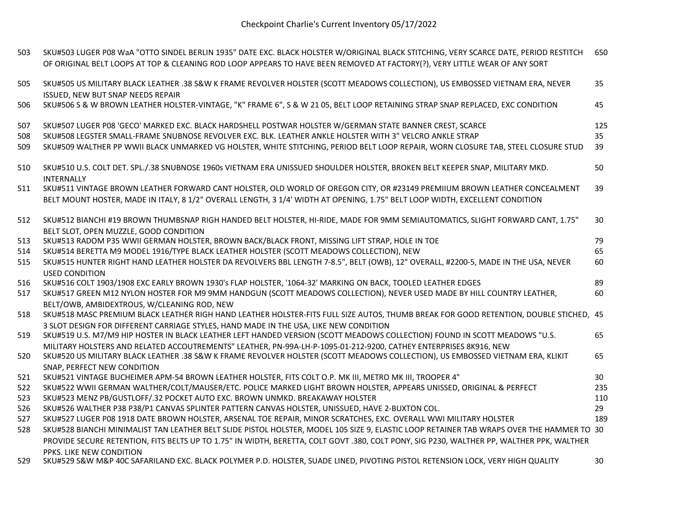| 503 | SKU#503 LUGER P08 WaA "OTTO SINDEL BERLIN 1935" DATE EXC. BLACK HOLSTER W/ORIGINAL BLACK STITCHING, VERY SCARCE DATE, PERIOD RESTITCH<br>OF ORIGINAL BELT LOOPS AT TOP & CLEANING ROD LOOP APPEARS TO HAVE BEEN REMOVED AT FACTORY(?), VERY LITTLE WEAR OF ANY SORT | 650 |
|-----|---------------------------------------------------------------------------------------------------------------------------------------------------------------------------------------------------------------------------------------------------------------------|-----|
| 505 | SKU#505 US MILITARY BLACK LEATHER .38 S&W K FRAME REVOLVER HOLSTER (SCOTT MEADOWS COLLECTION), US EMBOSSED VIETNAM ERA, NEVER<br>ISSUED, NEW BUT SNAP NEEDS REPAIR                                                                                                  | 35  |
| 506 | SKU#506 S & W BROWN LEATHER HOLSTER-VINTAGE, "K" FRAME 6", S & W 21 05, BELT LOOP RETAINING STRAP SNAP REPLACED, EXC CONDITION                                                                                                                                      | 45  |
| 507 | SKU#507 LUGER P08 'GECO' MARKED EXC. BLACK HARDSHELL POSTWAR HOLSTER W/GERMAN STATE BANNER CREST, SCARCE                                                                                                                                                            | 125 |
| 508 | SKU#508 LEGSTER SMALL-FRAME SNUBNOSE REVOLVER EXC. BLK. LEATHER ANKLE HOLSTER WITH 3" VELCRO ANKLE STRAP                                                                                                                                                            | 35  |
| 509 | SKU#509 WALTHER PP WWII BLACK UNMARKED VG HOLSTER, WHITE STITCHING, PERIOD BELT LOOP REPAIR, WORN CLOSURE TAB, STEEL CLOSURE STUD                                                                                                                                   | 39  |
| 510 | SKU#510 U.S. COLT DET. SPL./.38 SNUBNOSE 1960s VIETNAM ERA UNISSUED SHOULDER HOLSTER, BROKEN BELT KEEPER SNAP, MILITARY MKD.<br><b>INTERNALLY</b>                                                                                                                   | 50  |
| 511 | SKU#511 VINTAGE BROWN LEATHER FORWARD CANT HOLSTER, OLD WORLD OF OREGON CITY, OR #23149 PREMIIUM BROWN LEATHER CONCEALMENT                                                                                                                                          | 39  |
|     | BELT MOUNT HOSTER, MADE IN ITALY, 8 1/2" OVERALL LENGTH, 3 1/4' WIDTH AT OPENING, 1.75" BELT LOOP WIDTH, EXCELLENT CONDITION                                                                                                                                        |     |
| 512 | SKU#512 BIANCHI #19 BROWN THUMBSNAP RIGH HANDED BELT HOLSTER, HI-RIDE, MADE FOR 9MM SEMIAUTOMATICS, SLIGHT FORWARD CANT, 1.75"                                                                                                                                      | 30  |
|     | BELT SLOT, OPEN MUZZLE, GOOD CONDITION                                                                                                                                                                                                                              |     |
| 513 | SKU#513 RADOM P35 WWII GERMAN HOLSTER, BROWN BACK/BLACK FRONT, MISSING LIFT STRAP, HOLE IN TOE                                                                                                                                                                      | 79  |
| 514 | SKU#514 BERETTA M9 MODEL 1916/TYPE BLACK LEATHER HOLSTER (SCOTT MEADOWS COLLECTION), NEW                                                                                                                                                                            | 65  |
| 515 | SKU#515 HUNTER RIGHT HAND LEATHER HOLSTER DA REVOLVERS BBL LENGTH 7-8.5", BELT (OWB), 12" OVERALL, #2200-5, MADE IN THE USA, NEVER                                                                                                                                  | 60  |
|     | <b>USED CONDITION</b>                                                                                                                                                                                                                                               |     |
| 516 | SKU#516 COLT 1903/1908 EXC EARLY BROWN 1930's FLAP HOLSTER, '1064-32' MARKING ON BACK, TOOLED LEATHER EDGES                                                                                                                                                         | 89  |
| 517 | SKU#517 GREEN M12 NYLON HOSTER FOR M9 9MM HANDGUN (SCOTT MEADOWS COLLECTION), NEVER USED MADE BY HILL COUNTRY LEATHER,                                                                                                                                              | 60  |
|     | BELT/OWB, AMBIDEXTROUS, W/CLEANING ROD, NEW                                                                                                                                                                                                                         |     |
| 518 | SKU#518 MASC PREMIUM BLACK LEATHER RIGH HAND LEATHER HOLSTER-FITS FULL SIZE AUTOS, THUMB BREAK FOR GOOD RETENTION, DOUBLE STICHED, 45                                                                                                                               |     |
|     | 3 SLOT DESIGN FOR DIFFERENT CARRIAGE STYLES, HAND MADE IN THE USA, LIKE NEW CONDITION                                                                                                                                                                               |     |
| 519 | SKU#519 U.S. M7/M9 HIP HOSTER IN BLACK LEATHER LEFT HANDED VERSION (SCOTT MEADOWS COLLECTION) FOUND IN SCOTT MEADOWS "U.S.                                                                                                                                          | 65  |
|     | MILITARY HOLSTERS AND RELATED ACCOUTREMENTS" LEATHER, PN-99A-LH-P-1095-01-212-9200, CATHEY ENTERPRISES 8K916, NEW                                                                                                                                                   |     |
| 520 | SKU#520 US MILITARY BLACK LEATHER .38 S&W K FRAME REVOLVER HOLSTER (SCOTT MEADOWS COLLECTION), US EMBOSSED VIETNAM ERA, KLIKIT                                                                                                                                      | 65  |
|     | SNAP, PERFECT NEW CONDITION                                                                                                                                                                                                                                         |     |
| 521 | SKU#521 VINTAGE BUCHEIMER APM-54 BROWN LEATHER HOLSTER, FITS COLT O.P. MK III, METRO MK III, TROOPER 4"                                                                                                                                                             | 30  |
| 522 | SKU#522 WWII GERMAN WALTHER/COLT/MAUSER/ETC. POLICE MARKED LIGHT BROWN HOLSTER, APPEARS UNISSED, ORIGINAL & PERFECT                                                                                                                                                 | 235 |
| 523 | SKU#523 MENZ PB/GUSTLOFF/.32 POCKET AUTO EXC. BROWN UNMKD. BREAKAWAY HOLSTER                                                                                                                                                                                        | 110 |
| 526 | SKU#526 WALTHER P38 P38/P1 CANVAS SPLINTER PATTERN CANVAS HOLSTER, UNISSUED, HAVE 2-BUXTON COL.                                                                                                                                                                     | 29  |
| 527 | SKU#527 LUGER P08 1918 DATE BROWN HOLSTER, ARSENAL TOE REPAIR, MINOR SCRATCHES, EXC. OVERALL WWI MILITARY HOLSTER                                                                                                                                                   | 189 |
| 528 | SKU#528 BIANCHI MINIMALIST TAN LEATHER BELT SLIDE PISTOL HOLSTER, MODEL 105 SIZE 9, ELASTIC LOOP RETAINER TAB WRAPS OVER THE HAMMER TO 30                                                                                                                           |     |
|     | PROVIDE SECURE RETENTION, FITS BELTS UP TO 1.75" IN WIDTH, BERETTA, COLT GOVT .380, COLT PONY, SIG P230, WALTHER PP, WALTHER PPK, WALTHER                                                                                                                           |     |
|     | PPKS. LIKE NEW CONDITION                                                                                                                                                                                                                                            |     |
| 529 | SKU#529 S&W M&P 40C SAFARILAND EXC. BLACK POLYMER P.D. HOLSTER, SUADE LINED, PIVOTING PISTOL RETENSION LOCK, VERY HIGH QUALITY                                                                                                                                      | 30  |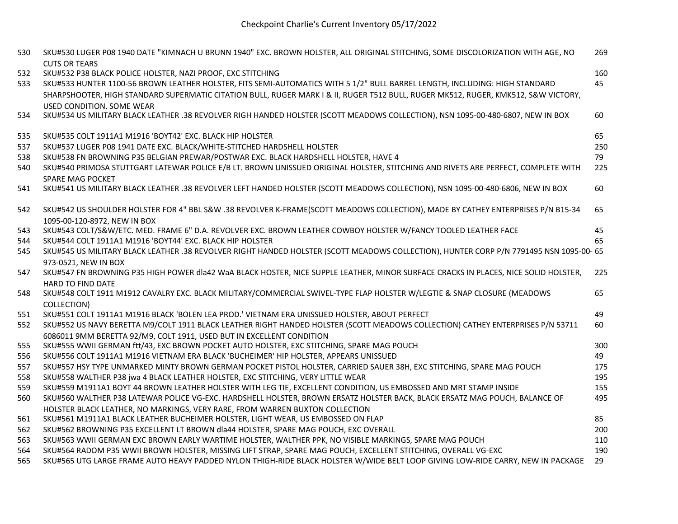| 530 | SKU#530 LUGER P08 1940 DATE "KIMNACH U BRUNN 1940" EXC. BROWN HOLSTER, ALL ORIGINAL STITCHING, SOME DISCOLORIZATION WITH AGE, NO<br><b>CUTS OR TEARS</b>    | 269 |
|-----|-------------------------------------------------------------------------------------------------------------------------------------------------------------|-----|
| 532 | SKU#532 P38 BLACK POLICE HOLSTER, NAZI PROOF, EXC STITCHING                                                                                                 | 160 |
| 533 | SKU#533 HUNTER 1100-56 BROWN LEATHER HOLSTER, FITS SEMI-AUTOMATICS WITH 5 1/2" BULL BARREL LENGTH, INCLUDING: HIGH STANDARD                                 | 45  |
|     | SHARPSHOOTER, HIGH STANDARD SUPERMATIC CITATION BULL, RUGER MARK I & II, RUGER T512 BULL, RUGER MK512, RUGER, KMK512, S&W VICTORY,                          |     |
|     | USED CONDITION. SOME WEAR                                                                                                                                   |     |
| 534 | SKU#534 US MILITARY BLACK LEATHER .38 REVOLVER RIGH HANDED HOLSTER (SCOTT MEADOWS COLLECTION), NSN 1095-00-480-6807, NEW IN BOX                             | 60  |
| 535 | SKU#535 COLT 1911A1 M1916 'BOYT42' EXC. BLACK HIP HOLSTER                                                                                                   | 65  |
| 537 | SKU#537 LUGER P08 1941 DATE EXC. BLACK/WHITE-STITCHED HARDSHELL HOLSTER                                                                                     | 250 |
| 538 | SKU#538 FN BROWNING P35 BELGIAN PREWAR/POSTWAR EXC. BLACK HARDSHELL HOLSTER, HAVE 4                                                                         | 79  |
| 540 | SKU#540 PRIMOSA STUTTGART LATEWAR POLICE E/B LT. BROWN UNISSUED ORIGINAL HOLSTER, STITCHING AND RIVETS ARE PERFECT, COMPLETE WITH                           | 225 |
|     | SPARE MAG POCKET                                                                                                                                            |     |
| 541 | SKU#541 US MILITARY BLACK LEATHER .38 REVOLVER LEFT HANDED HOLSTER (SCOTT MEADOWS COLLECTION), NSN 1095-00-480-6806, NEW IN BOX                             | 60  |
| 542 | SKU#542 US SHOULDER HOLSTER FOR 4" BBL S&W .38 REVOLVER K-FRAME(SCOTT MEADOWS COLLECTION), MADE BY CATHEY ENTERPRISES P/N B15-34                            | 65  |
|     | 1095-00-120-8972, NEW IN BOX                                                                                                                                |     |
| 543 | SKU#543 COLT/S&W/ETC. MED. FRAME 6" D.A. REVOLVER EXC. BROWN LEATHER COWBOY HOLSTER W/FANCY TOOLED LEATHER FACE                                             | 45  |
| 544 | SKU#544 COLT 1911A1 M1916 'BOYT44' EXC. BLACK HIP HOLSTER                                                                                                   | 65  |
| 545 | SKU#545 US MILITARY BLACK LEATHER .38 REVOLVER RIGHT HANDED HOLSTER (SCOTT MEADOWS COLLECTION), HUNTER CORP P/N 7791495 NSN 1095-00- 65                     |     |
| 547 | 973-0521, NEW IN BOX<br>SKU#547 FN BROWNING P35 HIGH POWER dla42 WaA BLACK HOSTER, NICE SUPPLE LEATHER, MINOR SURFACE CRACKS IN PLACES, NICE SOLID HOLSTER, | 225 |
|     | HARD TO FIND DATE                                                                                                                                           |     |
| 548 | SKU#548 COLT 1911 M1912 CAVALRY EXC. BLACK MILITARY/COMMERCIAL SWIVEL-TYPE FLAP HOLSTER W/LEGTIE & SNAP CLOSURE (MEADOWS                                    | 65  |
|     | COLLECTION)                                                                                                                                                 |     |
| 551 | SKU#551 COLT 1911A1 M1916 BLACK 'BOLEN LEA PROD.' VIETNAM ERA UNISSUED HOLSTER, ABOUT PERFECT                                                               | 49  |
| 552 | SKU#552 US NAVY BERETTA M9/COLT 1911 BLACK LEATHER RIGHT HANDED HOLSTER (SCOTT MEADOWS COLLECTION) CATHEY ENTERPRISES P/N 53711                             | 60  |
|     | 6086011 9MM BERETTA 92/M9, COLT 1911, USED BUT IN EXCELLENT CONDITION                                                                                       |     |
| 555 | SKU#555 WWII GERMAN ftt/43, EXC BROWN POCKET AUTO HOLSTER, EXC STITCHING, SPARE MAG POUCH                                                                   | 300 |
| 556 | SKU#556 COLT 1911A1 M1916 VIETNAM ERA BLACK 'BUCHEIMER' HIP HOLSTER, APPEARS UNISSUED                                                                       | 49  |
| 557 | SKU#557 HSY TYPE UNMARKED MINTY BROWN GERMAN POCKET PISTOL HOLSTER, CARRIED SAUER 38H, EXC STITCHING, SPARE MAG POUCH                                       | 175 |
| 558 | SKU#558 WALTHER P38 jwa 4 BLACK LEATHER HOLSTER, EXC STITCHING, VERY LITTLE WEAR                                                                            | 195 |
| 559 | SKU#559 M1911A1 BOYT 44 BROWN LEATHER HOLSTER WITH LEG TIE, EXCELLENT CONDITION, US EMBOSSED AND MRT STAMP INSIDE                                           | 155 |
| 560 | SKU#560 WALTHER P38 LATEWAR POLICE VG-EXC. HARDSHELL HOLSTER, BROWN ERSATZ HOLSTER BACK, BLACK ERSATZ MAG POUCH, BALANCE OF                                 | 495 |
|     | HOLSTER BLACK LEATHER, NO MARKINGS, VERY RARE, FROM WARREN BUXTON COLLECTION                                                                                |     |
| 561 | SKU#561 M1911A1 BLACK LEATHER BUCHEIMER HOLSTER, LIGHT WEAR, US EMBOSSED ON FLAP                                                                            | 85  |
| 562 | SKU#562 BROWNING P35 EXCELLENT LT BROWN dla44 HOLSTER, SPARE MAG POUCH, EXC OVERALL                                                                         | 200 |
| 563 | SKU#563 WWII GERMAN EXC BROWN EARLY WARTIME HOLSTER, WALTHER PPK, NO VISIBLE MARKINGS, SPARE MAG POUCH                                                      | 110 |
| 564 | SKU#564 RADOM P35 WWII BROWN HOLSTER, MISSING LIFT STRAP, SPARE MAG POUCH, EXCELLENT STITCHING, OVERALL VG-EXC                                              | 190 |
| 565 | SKU#565 UTG LARGE FRAME AUTO HEAVY PADDED NYLON THIGH-RIDE BLACK HOLSTER W/WIDE BELT LOOP GIVING LOW-RIDE CARRY, NEW IN PACKAGE                             | 29  |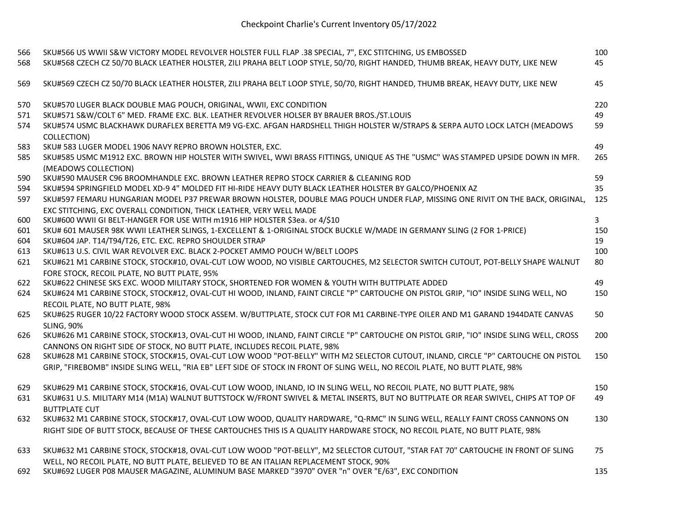| 566<br>568 | SKU#566 US WWII S&W VICTORY MODEL REVOLVER HOLSTER FULL FLAP .38 SPECIAL, 7", EXC STITCHING, US EMBOSSED<br>SKU#568 CZECH CZ 50/70 BLACK LEATHER HOLSTER, ZILI PRAHA BELT LOOP STYLE, 50/70, RIGHT HANDED, THUMB BREAK, HEAVY DUTY, LIKE NEW | 100<br>45    |
|------------|----------------------------------------------------------------------------------------------------------------------------------------------------------------------------------------------------------------------------------------------|--------------|
| 569        | SKU#569 CZECH CZ 50/70 BLACK LEATHER HOLSTER, ZILI PRAHA BELT LOOP STYLE, 50/70, RIGHT HANDED, THUMB BREAK, HEAVY DUTY, LIKE NEW                                                                                                             | 45           |
| 570        | SKU#570 LUGER BLACK DOUBLE MAG POUCH, ORIGINAL, WWII, EXC CONDITION                                                                                                                                                                          | 220          |
| 571        | SKU#571 S&W/COLT 6" MED. FRAME EXC. BLK. LEATHER REVOLVER HOLSER BY BRAUER BROS./ST.LOUIS                                                                                                                                                    | 49           |
| 574        | SKU#574 USMC BLACKHAWK DURAFLEX BERETTA M9 VG-EXC. AFGAN HARDSHELL THIGH HOLSTER W/STRAPS & SERPA AUTO LOCK LATCH (MEADOWS<br>COLLECTION)                                                                                                    | 59           |
| 583        | SKU# 583 LUGER MODEL 1906 NAVY REPRO BROWN HOLSTER, EXC.                                                                                                                                                                                     | 49           |
| 585        | SKU#585 USMC M1912 EXC. BROWN HIP HOLSTER WITH SWIVEL, WWI BRASS FITTINGS, UNIQUE AS THE "USMC" WAS STAMPED UPSIDE DOWN IN MFR.                                                                                                              | 265          |
|            | (MEADOWS COLLECTION)                                                                                                                                                                                                                         |              |
| 590        | SKU#590 MAUSER C96 BROOMHANDLE EXC. BROWN LEATHER REPRO STOCK CARRIER & CLEANING ROD                                                                                                                                                         | 59           |
| 594        | SKU#594 SPRINGFIELD MODEL XD-9 4" MOLDED FIT HI-RIDE HEAVY DUTY BLACK LEATHER HOLSTER BY GALCO/PHOENIX AZ                                                                                                                                    | 35           |
| 597        | SKU#597 FEMARU HUNGARIAN MODEL P37 PREWAR BROWN HOLSTER, DOUBLE MAG POUCH UNDER FLAP, MISSING ONE RIVIT ON THE BACK, ORIGINAL,                                                                                                               | 125          |
|            | EXC STITCHING, EXC OVERALL CONDITION, THICK LEATHER, VERY WELL MADE                                                                                                                                                                          |              |
| 600        | SKU#600 WWII GI BELT-HANGER FOR USE WITH m1916 HIP HOLSTER \$3ea. or 4/\$10                                                                                                                                                                  | $\mathbf{3}$ |
| 601        | SKU# 601 MAUSER 98K WWII LEATHER SLINGS, 1-EXCELLENT & 1-ORIGINAL STOCK BUCKLE W/MADE IN GERMANY SLING (2 FOR 1-PRICE)                                                                                                                       | 150          |
| 604        | SKU#604 JAP. T14/T94/T26, ETC. EXC. REPRO SHOULDER STRAP                                                                                                                                                                                     | 19           |
| 613        | SKU#613 U.S. CIVIL WAR REVOLVER EXC. BLACK 2-POCKET AMMO POUCH W/BELT LOOPS                                                                                                                                                                  | 100          |
| 621        | SKU#621 M1 CARBINE STOCK, STOCK#10, OVAL-CUT LOW WOOD, NO VISIBLE CARTOUCHES, M2 SELECTOR SWITCH CUTOUT, POT-BELLY SHAPE WALNUT                                                                                                              | 80           |
|            | FORE STOCK, RECOIL PLATE, NO BUTT PLATE, 95%                                                                                                                                                                                                 |              |
| 622        | SKU#622 CHINESE SKS EXC. WOOD MILITARY STOCK, SHORTENED FOR WOMEN & YOUTH WITH BUTTPLATE ADDED                                                                                                                                               | 49           |
| 624        | SKU#624 M1 CARBINE STOCK, STOCK#12, OVAL-CUT HI WOOD, INLAND, FAINT CIRCLE "P" CARTOUCHE ON PISTOL GRIP, "IO" INSIDE SLING WELL, NO                                                                                                          | 150          |
|            | RECOIL PLATE, NO BUTT PLATE, 98%                                                                                                                                                                                                             |              |
| 625        | SKU#625 RUGER 10/22 FACTORY WOOD STOCK ASSEM. W/BUTTPLATE, STOCK CUT FOR M1 CARBINE-TYPE OILER AND M1 GARAND 1944DATE CANVAS                                                                                                                 | 50           |
|            | <b>SLING, 90%</b>                                                                                                                                                                                                                            |              |
| 626        | SKU#626 M1 CARBINE STOCK, STOCK#13, OVAL-CUT HI WOOD, INLAND, FAINT CIRCLE "P" CARTOUCHE ON PISTOL GRIP, "IO" INSIDE SLING WELL, CROSS                                                                                                       | 200          |
|            | CANNONS ON RIGHT SIDE OF STOCK, NO BUTT PLATE, INCLUDES RECOIL PLATE, 98%                                                                                                                                                                    |              |
| 628        | SKU#628 M1 CARBINE STOCK, STOCK#15, OVAL-CUT LOW WOOD "POT-BELLY" WITH M2 SELECTOR CUTOUT, INLAND, CIRCLE "P" CARTOUCHE ON PISTOL                                                                                                            | 150          |
|            | GRIP, "FIREBOMB" INSIDE SLING WELL, "RIA EB" LEFT SIDE OF STOCK IN FRONT OF SLING WELL, NO RECOIL PLATE, NO BUTT PLATE, 98%                                                                                                                  |              |
| 629        | SKU#629 M1 CARBINE STOCK, STOCK#16, OVAL-CUT LOW WOOD, INLAND, IO IN SLING WELL, NO RECOIL PLATE, NO BUTT PLATE, 98%                                                                                                                         | 150          |
| 631        | SKU#631 U.S. MILITARY M14 (M1A) WALNUT BUTTSTOCK W/FRONT SWIVEL & METAL INSERTS, BUT NO BUTTPLATE OR REAR SWIVEL, CHIPS AT TOP OF<br><b>BUTTPLATE CUT</b>                                                                                    | 49           |
| 632        | SKU#632 M1 CARBINE STOCK, STOCK#17, OVAL-CUT LOW WOOD, QUALITY HARDWARE, "Q-RMC" IN SLING WELL, REALLY FAINT CROSS CANNONS ON                                                                                                                | 130          |
|            | RIGHT SIDE OF BUTT STOCK, BECAUSE OF THESE CARTOUCHES THIS IS A QUALITY HARDWARE STOCK, NO RECOIL PLATE, NO BUTT PLATE, 98%                                                                                                                  |              |
| 633        | SKU#632 M1 CARBINE STOCK, STOCK#18, OVAL-CUT LOW WOOD "POT-BELLY", M2 SELECTOR CUTOUT, "STAR FAT 70" CARTOUCHE IN FRONT OF SLING                                                                                                             | 75           |
|            | WELL, NO RECOIL PLATE, NO BUTT PLATE, BELIEVED TO BE AN ITALIAN REPLACEMENT STOCK, 90%                                                                                                                                                       |              |
| 692        | SKU#692 LUGER P08 MAUSER MAGAZINE, ALUMINUM BASE MARKED "3970" OVER "n" OVER "E/63", EXC CONDITION                                                                                                                                           | 135          |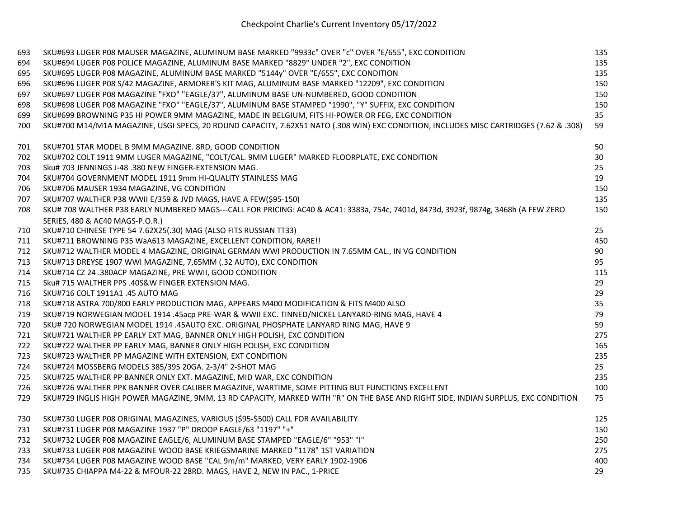| 693 | SKU#693 LUGER P08 MAUSER MAGAZINE, ALUMINUM BASE MARKED "9933c" OVER "c" OVER "E/655", EXC CONDITION                                   | 135 |
|-----|----------------------------------------------------------------------------------------------------------------------------------------|-----|
| 694 | SKU#694 LUGER P08 POLICE MAGAZINE, ALUMINUM BASE MARKED "8829" UNDER "2", EXC CONDITION                                                | 135 |
| 695 | SKU#695 LUGER P08 MAGAZINE, ALUMINUM BASE MARKED "5144y" OVER "E/655", EXC CONDITION                                                   | 135 |
| 696 | SKU#696 LUGER P08 S/42 MAGAZINE, ARMORER'S KIT MAG, ALUMINUM BASE MARKED "12209", EXC CONDITION                                        | 150 |
| 697 | SKU#697 LUGER P08 MAGAZINE "FXO" "EAGLE/37", ALUMINUM BASE UN-NUMBERED, GOOD CONDITION                                                 | 150 |
| 698 | SKU#698 LUGER P08 MAGAZINE "FXO" "EAGLE/37", ALUMINUM BASE STAMPED "1990", "Y" SUFFIX, EXC CONDITION                                   | 150 |
| 699 | SKU#699 BROWNING P35 HI POWER 9MM MAGAZINE, MADE IN BELGIUM, FITS HI-POWER OR FEG, EXC CONDITION                                       | 35  |
| 700 | SKU#700 M14/M1A MAGAZINE, USGI SPECS, 20 ROUND CAPACITY, 7.62X51 NATO (.308 WIN) EXC CONDITION, INCLUDES MISC CARTRIDGES (7.62 & .308) | 59  |
| 701 | SKU#701 STAR MODEL B 9MM MAGAZINE. 8RD, GOOD CONDITION                                                                                 | 50  |
| 702 | SKU#702 COLT 1911 9MM LUGER MAGAZINE, "COLT/CAL. 9MM LUGER" MARKED FLOORPLATE, EXC CONDITION                                           | 30  |
| 703 | Sku# 703 JENNINGS J-48 .380 NEW FINGER-EXTENSION MAG.                                                                                  | 25  |
| 704 | SKU#704 GOVERNMENT MODEL 1911 9mm HI-QUALITY STAINLESS MAG                                                                             | 19  |
| 706 | SKU#706 MAUSER 1934 MAGAZINE, VG CONDITION                                                                                             | 150 |
| 707 | SKU#707 WALTHER P38 WWII E/359 & JVD MAGS, HAVE A FEW(\$95-150)                                                                        | 135 |
| 708 | SKU# 708 WALTHER P38 EARLY NUMBERED MAGS---CALL FOR PRICING: AC40 & AC41: 3383a, 754c, 7401d, 8473d, 3923f, 9874g, 3468h (A FEW ZERO   | 150 |
|     | SERIES, 480 & AC40 MAGS-P.O.R.)                                                                                                        |     |
| 710 | SKU#710 CHINESE TYPE 54 7.62X25(.30) MAG (ALSO FITS RUSSIAN TT33)                                                                      | 25  |
| 711 | SKU#711 BROWNING P35 WaA613 MAGAZINE, EXCELLENT CONDITION, RARE!!                                                                      | 450 |
| 712 | SKU#712 WALTHER MODEL 4 MAGAZINE, ORIGINAL GERMAN WWI PRODUCTION IN 7.65MM CAL., IN VG CONDITION                                       | 90  |
| 713 | SKU#713 DREYSE 1907 WWI MAGAZINE, 7,65MM (.32 AUTO), EXC CONDITION                                                                     | 95  |
| 714 | SKU#714 CZ 24 .380ACP MAGAZINE, PRE WWII, GOOD CONDITION                                                                               | 115 |
| 715 | Sku# 715 WALTHER PPS .40S&W FINGER EXTENSION MAG.                                                                                      | 29  |
| 716 | SKU#716 COLT 1911A1 .45 AUTO MAG                                                                                                       | 29  |
| 718 | SKU#718 ASTRA 700/800 EARLY PRODUCTION MAG, APPEARS M400 MODIFICATION & FITS M400 ALSO                                                 | 35  |
| 719 | SKU#719 NORWEGIAN MODEL 1914 .45acp PRE-WAR & WWII EXC. TINNED/NICKEL LANYARD-RING MAG, HAVE 4                                         | 79  |
| 720 | SKU# 720 NORWEGIAN MODEL 1914 .45AUTO EXC. ORIGINAL PHOSPHATE LANYARD RING MAG, HAVE 9                                                 | 59  |
| 721 | SKU#721 WALTHER PP EARLY EXT MAG, BANNER ONLY HIGH POLISH, EXC CONDITION                                                               | 275 |
| 722 | SKU#722 WALTHER PP EARLY MAG, BANNER ONLY HIGH POLISH, EXC CONDITION                                                                   | 165 |
| 723 | SKU#723 WALTHER PP MAGAZINE WITH EXTENSION, EXT CONDITION                                                                              | 235 |
| 724 | SKU#724 MOSSBERG MODELS 385/395 20GA. 2-3/4" 2-SHOT MAG                                                                                | 25  |
| 725 | SKU#725 WALTHER PP BANNER ONLY EXT. MAGAZINE, MID WAR, EXC CONDITION                                                                   | 235 |
| 726 | SKU#726 WALTHER PPK BANNER OVER CALIBER MAGAZINE, WARTIME, SOME PITTING BUT FUNCTIONS EXCELLENT                                        | 100 |
| 729 | SKU#729 INGLIS HIGH POWER MAGAZINE, 9MM, 13 RD CAPACITY, MARKED WITH "R" ON THE BASE AND RIGHT SIDE, INDIAN SURPLUS, EXC CONDITION     | 75  |
| 730 | SKU#730 LUGER P08 ORIGINAL MAGAZINES, VARIOUS (\$95-\$500) CALL FOR AVAILABILITY                                                       | 125 |
| 731 | SKU#731 LUGER P08 MAGAZINE 1937 "P" DROOP EAGLE/63 "1197" "+"                                                                          | 150 |
| 732 | SKU#732 LUGER P08 MAGAZINE EAGLE/6, ALUMINUM BASE STAMPED "EAGLE/6" "953" "I"                                                          | 250 |
| 733 | SKU#733 LUGER P08 MAGAZINE WOOD BASE KRIEGSMARINE MARKED "1178" 1ST VARIATION                                                          | 275 |
| 734 | SKU#734 LUGER P08 MAGAZINE WOOD BASE "CAL 9m/m" MARKED, VERY EARLY 1902-1906                                                           | 400 |
| 735 | SKU#735 CHIAPPA M4-22 & MFOUR-22 28RD. MAGS, HAVE 2, NEW IN PAC., 1-PRICE                                                              | 29  |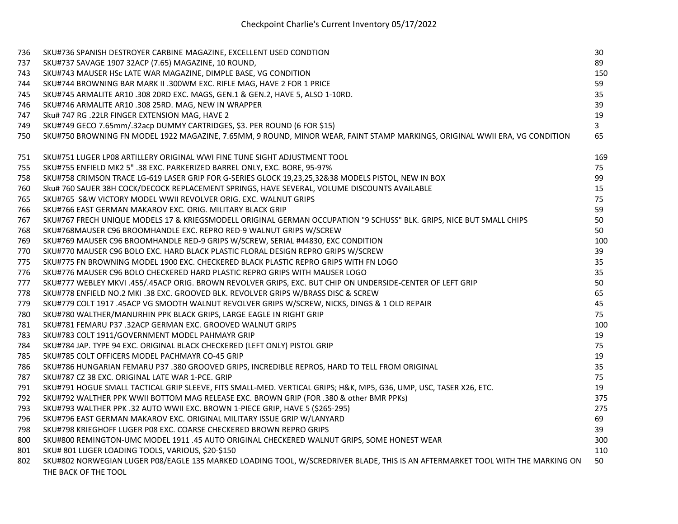| 736 | SKU#736 SPANISH DESTROYER CARBINE MAGAZINE, EXCELLENT USED CONDTION                                                            | 30           |
|-----|--------------------------------------------------------------------------------------------------------------------------------|--------------|
| 737 | SKU#737 SAVAGE 1907 32ACP (7.65) MAGAZINE, 10 ROUND,                                                                           | 89           |
| 743 | SKU#743 MAUSER HSc LATE WAR MAGAZINE, DIMPLE BASE, VG CONDITION                                                                | 150          |
| 744 | SKU#744 BROWNING BAR MARK II .300WM EXC. RIFLE MAG, HAVE 2 FOR 1 PRICE                                                         | 59           |
| 745 | SKU#745 ARMALITE AR10 .308 20RD EXC. MAGS, GEN.1 & GEN.2, HAVE 5, ALSO 1-10RD.                                                 | 35           |
| 746 | SKU#746 ARMALITE AR10 .308 25RD. MAG, NEW IN WRAPPER                                                                           | 39           |
| 747 | Sku# 747 RG .22LR FINGER EXTENSION MAG, HAVE 2                                                                                 | 19           |
| 749 | SKU#749 GECO 7.65mm/.32acp DUMMY CARTRIDGES, \$3. PER ROUND (6 FOR \$15)                                                       | $\mathbf{3}$ |
| 750 | SKU#750 BROWNING FN MODEL 1922 MAGAZINE, 7.65MM, 9 ROUND, MINOR WEAR, FAINT STAMP MARKINGS, ORIGINAL WWII ERA, VG CONDITION    | 65           |
| 751 | SKU#751 LUGER LP08 ARTILLERY ORIGINAL WWI FINE TUNE SIGHT ADJUSTMENT TOOL                                                      | 169          |
| 755 | SKU#755 ENFIELD MK2 5" .38 EXC. PARKERIZED BARREL ONLY, EXC. BORE, 95-97%                                                      | 75           |
| 758 | SKU#758 CRIMSON TRACE LG-619 LASER GRIP FOR G-SERIES GLOCK 19,23,25,32&38 MODELS PISTOL, NEW IN BOX                            | 99           |
| 760 | Sku# 760 SAUER 38H COCK/DECOCK REPLACEMENT SPRINGS, HAVE SEVERAL, VOLUME DISCOUNTS AVAILABLE                                   | 15           |
| 765 | SKU#765 S&W VICTORY MODEL WWII REVOLVER ORIG. EXC. WALNUT GRIPS                                                                | 75           |
| 766 | SKU#766 EAST GERMAN MAKAROV EXC. ORIG. MILITARY BLACK GRIP                                                                     | 59           |
| 767 | SKU#767 FRECH UNIQUE MODELS 17 & KRIEGSMODELL ORIGINAL GERMAN OCCUPATION "9 SCHUSS" BLK. GRIPS, NICE BUT SMALL CHIPS           | 50           |
| 768 | SKU#768MAUSER C96 BROOMHANDLE EXC. REPRO RED-9 WALNUT GRIPS W/SCREW                                                            | 50           |
| 769 | SKU#769 MAUSER C96 BROOMHANDLE RED-9 GRIPS W/SCREW, SERIAL #44830, EXC CONDITION                                               | 100          |
| 770 | SKU#770 MAUSER C96 BOLO EXC. HARD BLACK PLASTIC FLORAL DESIGN REPRO GRIPS W/SCREW                                              | 39           |
| 775 | SKU#775 FN BROWNING MODEL 1900 EXC. CHECKERED BLACK PLASTIC REPRO GRIPS WITH FN LOGO                                           | 35           |
| 776 | SKU#776 MAUSER C96 BOLO CHECKERED HARD PLASTIC REPRO GRIPS WITH MAUSER LOGO                                                    | 35           |
| 777 | SKU#777 WEBLEY MKVI .455/.45ACP ORIG. BROWN REVOLVER GRIPS, EXC. BUT CHIP ON UNDERSIDE-CENTER OF LEFT GRIP                     | 50           |
| 778 | SKU#778 ENFIELD NO.2 MKI .38 EXC. GROOVED BLK. REVOLVER GRIPS W/BRASS DISC & SCREW                                             | 65           |
| 779 | SKU#779 COLT 1917 .45ACP VG SMOOTH WALNUT REVOLVER GRIPS W/SCREW, NICKS, DINGS & 1 OLD REPAIR                                  | 45           |
| 780 | SKU#780 WALTHER/MANURHIN PPK BLACK GRIPS, LARGE EAGLE IN RIGHT GRIP                                                            | 75           |
| 781 | SKU#781 FEMARU P37 .32ACP GERMAN EXC. GROOVED WALNUT GRIPS                                                                     | 100          |
| 783 | SKU#783 COLT 1911/GOVERNMENT MODEL PAHMAYR GRIP                                                                                | 19           |
| 784 | SKU#784 JAP. TYPE 94 EXC. ORIGINAL BLACK CHECKERED (LEFT ONLY) PISTOL GRIP                                                     | 75           |
| 785 | SKU#785 COLT OFFICERS MODEL PACHMAYR CO-45 GRIP                                                                                | 19           |
| 786 | SKU#786 HUNGARIAN FEMARU P37 .380 GROOVED GRIPS, INCREDIBLE REPROS, HARD TO TELL FROM ORIGINAL                                 | 35           |
| 787 | SKU#787 CZ 38 EXC. ORIGINAL LATE WAR 1-PCE. GRIP                                                                               | 75           |
| 791 | SKU#791 HOGUE SMALL TACTICAL GRIP SLEEVE, FITS SMALL-MED. VERTICAL GRIPS; H&K, MP5, G36, UMP, USC, TASER X26, ETC.             | 19           |
| 792 | SKU#792 WALTHER PPK WWII BOTTOM MAG RELEASE EXC. BROWN GRIP (FOR .380 & other BMR PPKs)                                        | 375          |
| 793 | SKU#793 WALTHER PPK .32 AUTO WWII EXC. BROWN 1-PIECE GRIP, HAVE 5 (\$265-295)                                                  | 275          |
| 796 | SKU#796 EAST GERMAN MAKAROV EXC. ORIGINAL MILITARY ISSUE GRIP W/LANYARD                                                        | 69           |
| 798 | SKU#798 KRIEGHOFF LUGER P08 EXC. COARSE CHECKERED BROWN REPRO GRIPS                                                            | 39           |
| 800 | SKU#800 REMINGTON-UMC MODEL 1911 .45 AUTO ORIGINAL CHECKERED WALNUT GRIPS, SOME HONEST WEAR                                    | 300          |
| 801 | SKU# 801 LUGER LOADING TOOLS, VARIOUS, \$20-\$150                                                                              | 110          |
| 802 | SKU#802 NORWEGIAN LUGER P08/EAGLE 135 MARKED LOADING TOOL, W/SCREDRIVER BLADE, THIS IS AN AFTERMARKET TOOL WITH THE MARKING ON | 50           |
|     | THE BACK OF THE TOOL                                                                                                           |              |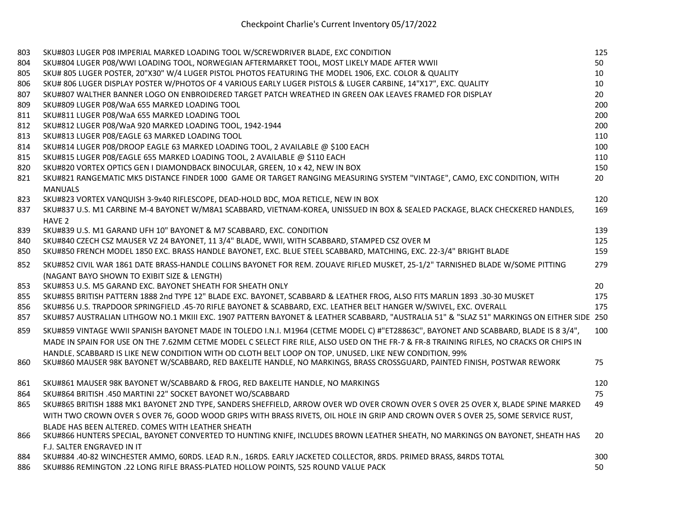| 803 | SKU#803 LUGER P08 IMPERIAL MARKED LOADING TOOL W/SCREWDRIVER BLADE, EXC CONDITION                                                          | 125 |
|-----|--------------------------------------------------------------------------------------------------------------------------------------------|-----|
| 804 | SKU#804 LUGER P08/WWI LOADING TOOL, NORWEGIAN AFTERMARKET TOOL, MOST LIKELY MADE AFTER WWII                                                | 50  |
| 805 | SKU# 805 LUGER POSTER, 20"X30" W/4 LUGER PISTOL PHOTOS FEATURING THE MODEL 1906, EXC. COLOR & QUALITY                                      | 10  |
| 806 | SKU# 806 LUGER DISPLAY POSTER W/PHOTOS OF 4 VARIOUS EARLY LUGER PISTOLS & LUGER CARBINE, 14"X17", EXC. QUALITY                             | 10  |
| 807 | SKU#807 WALTHER BANNER LOGO ON ENBROIDERED TARGET PATCH WREATHED IN GREEN OAK LEAVES FRAMED FOR DISPLAY                                    | 20  |
| 809 | SKU#809 LUGER P08/WaA 655 MARKED LOADING TOOL                                                                                              | 200 |
| 811 | SKU#811 LUGER P08/WaA 655 MARKED LOADING TOOL                                                                                              | 200 |
| 812 | SKU#812 LUGER P08/WaA 920 MARKED LOADING TOOL, 1942-1944                                                                                   | 200 |
| 813 | SKU#813 LUGER P08/EAGLE 63 MARKED LOADING TOOL                                                                                             | 110 |
| 814 | SKU#814 LUGER P08/DROOP EAGLE 63 MARKED LOADING TOOL, 2 AVAILABLE @ \$100 EACH                                                             | 100 |
| 815 | SKU#815 LUGER P08/EAGLE 655 MARKED LOADING TOOL, 2 AVAILABLE @ \$110 EACH                                                                  | 110 |
| 820 | SKU#820 VORTEX OPTICS GEN I DIAMONDBACK BINOCULAR, GREEN, 10 x 42, NEW IN BOX                                                              | 150 |
| 821 | SKU#821 RANGEMATIC MK5 DISTANCE FINDER 1000 GAME OR TARGET RANGING MEASURING SYSTEM "VINTAGE", CAMO, EXC CONDITION, WITH                   | 20  |
|     | <b>MANUALS</b>                                                                                                                             |     |
| 823 | SKU#823 VORTEX VANQUISH 3-9x40 RIFLESCOPE, DEAD-HOLD BDC, MOA RETICLE, NEW IN BOX                                                          | 120 |
| 837 | SKU#837 U.S. M1 CARBINE M-4 BAYONET W/M8A1 SCABBARD, VIETNAM-KOREA, UNISSUED IN BOX & SEALED PACKAGE, BLACK CHECKERED HANDLES,             | 169 |
|     | HAVE 2                                                                                                                                     |     |
| 839 | SKU#839 U.S. M1 GARAND UFH 10" BAYONET & M7 SCABBARD, EXC. CONDITION                                                                       | 139 |
| 840 | SKU#840 CZECH CSZ MAUSER VZ 24 BAYONET, 11 3/4" BLADE, WWII, WITH SCABBARD, STAMPED CSZ OVER M                                             | 125 |
| 850 | SKU#850 FRENCH MODEL 1850 EXC. BRASS HANDLE BAYONET, EXC. BLUE STEEL SCABBARD, MATCHING, EXC. 22-3/4" BRIGHT BLADE                         | 159 |
| 852 | SKU#852 CIVIL WAR 1861 DATE BRASS-HANDLE COLLINS BAYONET FOR REM. ZOUAVE RIFLED MUSKET, 25-1/2" TARNISHED BLADE W/SOME PITTING             | 279 |
|     | (NAGANT BAYO SHOWN TO EXIBIT SIZE & LENGTH)                                                                                                |     |
| 853 | SKU#853 U.S. M5 GARAND EXC. BAYONET SHEATH FOR SHEATH ONLY                                                                                 | 20  |
| 855 | SKU#855 BRITISH PATTERN 1888 2nd TYPE 12" BLADE EXC. BAYONET, SCABBARD & LEATHER FROG, ALSO FITS MARLIN 1893 .30-30 MUSKET                 | 175 |
| 856 | SKU#856 U.S. TRAPDOOR SPRINGFIELD .45-70 RIFLE BAYONET & SCABBARD, EXC. LEATHER BELT HANGER W/SWIVEL, EXC. OVERALL                         | 175 |
| 857 | SKU#857 AUSTRALIAN LITHGOW NO.1 MKIII EXC. 1907 PATTERN BAYONET & LEATHER SCABBARD, "AUSTRALIA 51" & "SLAZ 51" MARKINGS ON EITHER SIDE 250 |     |
| 859 | SKU#859 VINTAGE WWII SPANISH BAYONET MADE IN TOLEDO I.N.I. M1964 (CETME MODEL C) #"ET28863C", BAYONET AND SCABBARD, BLADE IS 8 3/4",       | 100 |
|     | MADE IN SPAIN FOR USE ON THE 7.62MM CETME MODEL C SELECT FIRE RILE, ALSO USED ON THE FR-7 & FR-8 TRAINING RIFLES, NO CRACKS OR CHIPS IN    |     |
|     | HANDLE. SCABBARD IS LIKE NEW CONDITION WITH OD CLOTH BELT LOOP ON TOP, UNUSED, LIKE NEW CONDITION, 99%                                     |     |
| 860 | SKU#860 MAUSER 98K BAYONET W/SCABBARD, RED BAKELITE HANDLE, NO MARKINGS, BRASS CROSSGUARD, PAINTED FINISH, POSTWAR REWORK                  | 75  |
| 861 | SKU#861 MAUSER 98K BAYONET W/SCABBARD & FROG, RED BAKELITE HANDLE, NO MARKINGS                                                             | 120 |
| 864 | SKU#864 BRITISH .450 MARTINI 22" SOCKET BAYONET WO/SCABBARD                                                                                | 75  |
| 865 | SKU#865 BRITISH 1888 MK1 BAYONET 2ND TYPE, SANDERS SHEFFIELD, ARROW OVER WD OVER CROWN OVER S OVER 25 OVER X, BLADE SPINE MARKED           | 49  |
|     | WITH TWO CROWN OVER S OVER 76, GOOD WOOD GRIPS WITH BRASS RIVETS, OIL HOLE IN GRIP AND CROWN OVER S OVER 25, SOME SERVICE RUST,            |     |
|     | BLADE HAS BEEN ALTERED. COMES WITH LEATHER SHEATH                                                                                          |     |
| 866 | SKU#866 HUNTERS SPECIAL, BAYONET CONVERTED TO HUNTING KNIFE, INCLUDES BROWN LEATHER SHEATH, NO MARKINGS ON BAYONET, SHEATH HAS             | 20  |
|     | F.J. SALTER ENGRAVED IN IT                                                                                                                 |     |
| 884 | SKU#884 .40-82 WINCHESTER AMMO, 60RDS. LEAD R.N., 16RDS. EARLY JACKETED COLLECTOR, 8RDS. PRIMED BRASS, 84RDS TOTAL                         | 300 |
| 886 | SKU#886 REMINGTON .22 LONG RIFLE BRASS-PLATED HOLLOW POINTS, 525 ROUND VALUE PACK                                                          | 50  |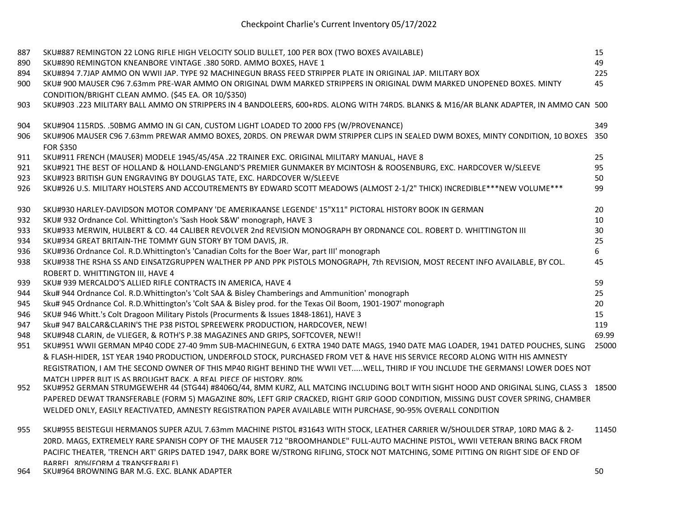| 887        | SKU#887 REMINGTON 22 LONG RIFLE HIGH VELOCITY SOLID BULLET, 100 PER BOX (TWO BOXES AVAILABLE)<br>SKU#890 REMINGTON KNEANBORE VINTAGE .380 50RD. AMMO BOXES, HAVE 1                                                                   | 15<br>49  |
|------------|--------------------------------------------------------------------------------------------------------------------------------------------------------------------------------------------------------------------------------------|-----------|
| 890        |                                                                                                                                                                                                                                      |           |
| 894<br>900 | SKU#894 7.7JAP AMMO ON WWII JAP. TYPE 92 MACHINEGUN BRASS FEED STRIPPER PLATE IN ORIGINAL JAP. MILITARY BOX<br>SKU# 900 MAUSER C96 7.63mm PRE-WAR AMMO ON ORIGINAL DWM MARKED STRIPPERS IN ORIGINAL DWM MARKED UNOPENED BOXES. MINTY | 225<br>45 |
|            |                                                                                                                                                                                                                                      |           |
| 903        | CONDITION/BRIGHT CLEAN AMMO. (\$45 EA. OR 10/\$350)<br>SKU#903 .223 MILITARY BALL AMMO ON STRIPPERS IN 4 BANDOLEERS, 600+RDS. ALONG WITH 74RDS. BLANKS & M16/AR BLANK ADAPTER, IN AMMO CAN 500                                       |           |
| 904        | SKU#904 115RDS. . 50BMG AMMO IN GI CAN, CUSTOM LIGHT LOADED TO 2000 FPS (W/PROVENANCE)                                                                                                                                               | 349       |
| 906        | SKU#906 MAUSER C96 7.63mm PREWAR AMMO BOXES, 20RDS. ON PREWAR DWM STRIPPER CLIPS IN SEALED DWM BOXES, MINTY CONDITION, 10 BOXES<br><b>FOR \$350</b>                                                                                  | 350       |
| 911        | SKU#911 FRENCH (MAUSER) MODELE 1945/45/45A .22 TRAINER EXC. ORIGINAL MILITARY MANUAL, HAVE 8                                                                                                                                         | 25        |
| 921        | SKU#921 THE BEST OF HOLLAND & HOLLAND-ENGLAND'S PREMIER GUNMAKER BY MCINTOSH & ROOSENBURG, EXC. HARDCOVER W/SLEEVE                                                                                                                   | 95        |
| 923        | SKU#923 BRITISH GUN ENGRAVING BY DOUGLAS TATE, EXC. HARDCOVER W/SLEEVE                                                                                                                                                               | 50        |
| 926        | SKU#926 U.S. MILITARY HOLSTERS AND ACCOUTREMENTS BY EDWARD SCOTT MEADOWS (ALMOST 2-1/2" THICK) INCREDIBLE***NEW VOLUME***                                                                                                            | 99        |
| 930        | SKU#930 HARLEY-DAVIDSON MOTOR COMPANY 'DE AMERIKAANSE LEGENDE' 15"X11" PICTORAL HISTORY BOOK IN GERMAN                                                                                                                               | 20        |
| 932        | SKU# 932 Ordnance Col. Whittington's 'Sash Hook S&W' monograph, HAVE 3                                                                                                                                                               | 10        |
| 933        | SKU#933 MERWIN, HULBERT & CO. 44 CALIBER REVOLVER 2nd REVISION MONOGRAPH BY ORDNANCE COL. ROBERT D. WHITTINGTON III                                                                                                                  | 30        |
| 934        | SKU#934 GREAT BRITAIN-THE TOMMY GUN STORY BY TOM DAVIS, JR.                                                                                                                                                                          | 25        |
| 936        | SKU#936 Ordnance Col. R.D.Whittington's 'Canadian Colts for the Boer War, part III' monograph                                                                                                                                        | 6         |
| 938        | SKU#938 THE RSHA SS AND EINSATZGRUPPEN WALTHER PP AND PPK PISTOLS MONOGRAPH, 7th REVISION, MOST RECENT INFO AVAILABLE, BY COL.                                                                                                       | 45        |
|            | ROBERT D. WHITTINGTON III, HAVE 4                                                                                                                                                                                                    |           |
| 939        | SKU# 939 MERCALDO'S ALLIED RIFLE CONTRACTS IN AMERICA, HAVE 4                                                                                                                                                                        | 59        |
| 944        | Sku# 944 Ordnance Col. R.D.Whittington's 'Colt SAA & Bisley Chamberings and Ammunition' monograph                                                                                                                                    | 25        |
| 945        | Sku# 945 Ordnance Col. R.D.Whittington's 'Colt SAA & Bisley prod. for the Texas Oil Boom, 1901-1907' monograph                                                                                                                       | 20        |
| 946        | SKU# 946 Whitt.'s Colt Dragoon Military Pistols (Procurments & Issues 1848-1861), HAVE 3                                                                                                                                             | 15        |
| 947        | Sku# 947 BALCAR&CLARIN'S THE P38 PISTOL SPREEWERK PRODUCTION, HARDCOVER, NEW!                                                                                                                                                        | 119       |
| 948        | SKU#948 CLARIN, de VLIEGER, & ROTH'S P.38 MAGAZINES AND GRIPS, SOFTCOVER, NEW!!                                                                                                                                                      | 69.99     |
| 951        | SKU#951 WWII GERMAN MP40 CODE 27-40 9mm SUB-MACHINEGUN, 6 EXTRA 1940 DATE MAGS, 1940 DATE MAG LOADER, 1941 DATED POUCHES, SLING                                                                                                      | 25000     |
|            | & FLASH-HIDER, 1ST YEAR 1940 PRODUCTION, UNDERFOLD STOCK, PURCHASED FROM VET & HAVE HIS SERVICE RECORD ALONG WITH HIS AMNESTY                                                                                                        |           |
|            | REGISTRATION, I AM THE SECOND OWNER OF THIS MP40 RIGHT BEHIND THE WWII VETWELL, THIRD IF YOU INCLUDE THE GERMANS! LOWER DOES NOT                                                                                                     |           |
| 952        | MATCH LIPPER RUT IS AS BROUGHT BACK A REAL PIECE OF HISTORY 80%<br>SKU#952 GERMAN STRUMGEWEHR 44 (STG44) #8406Q/44, 8MM KURZ, ALL MATCING INCLUDING BOLT WITH SIGHT HOOD AND ORIGINAL SLING, CLASS 3 18500                           |           |
|            | PAPERED DEWAT TRANSFERABLE (FORM 5) MAGAZINE 80%, LEFT GRIP CRACKED, RIGHT GRIP GOOD CONDITION, MISSING DUST COVER SPRING, CHAMBER                                                                                                   |           |
|            | WELDED ONLY, EASILY REACTIVATED, AMNESTY REGISTRATION PAPER AVAILABLE WITH PURCHASE, 90-95% OVERALL CONDITION                                                                                                                        |           |
| 955        | SKU#955 BEISTEGUI HERMANOS SUPER AZUL 7.63mm MACHINE PISTOL #31643 WITH STOCK, LEATHER CARRIER W/SHOULDER STRAP, 10RD MAG & 2-                                                                                                       | 11450     |
|            | 20RD. MAGS, EXTREMELY RARE SPANISH COPY OF THE MAUSER 712 "BROOMHANDLE" FULL-AUTO MACHINE PISTOL, WWII VETERAN BRING BACK FROM                                                                                                       |           |
|            | PACIFIC THEATER, 'TRENCH ART' GRIPS DATED 1947, DARK BORE W/STRONG RIFLING, STOCK NOT MATCHING, SOME PITTING ON RIGHT SIDE OF END OF                                                                                                 |           |

BARREL, 80%(FORM 4 TRANSFERABLE) 964 SKU#964 BROWNING BAR M.G. EXC. BLANK ADAPTER 50 SO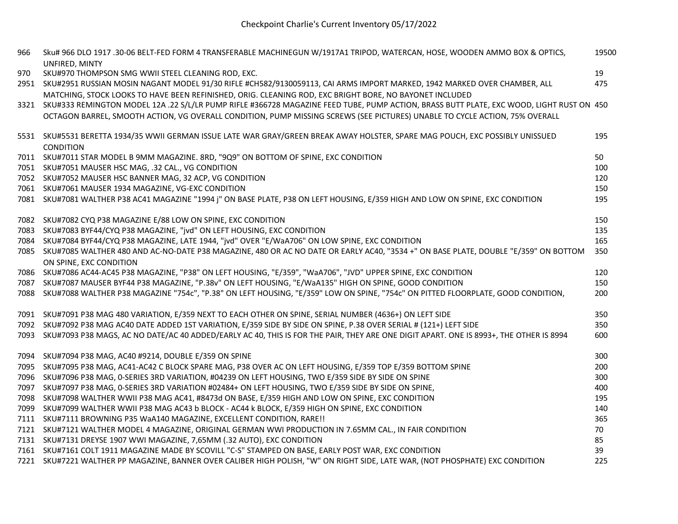| 966  | Sku# 966 DLO 1917 .30-06 BELT-FED FORM 4 TRANSFERABLE MACHINEGUN W/1917A1 TRIPOD, WATERCAN, HOSE, WOODEN AMMO BOX & OPTICS,<br>UNFIRED, MINTY | 19500 |
|------|-----------------------------------------------------------------------------------------------------------------------------------------------|-------|
| 970  | SKU#970 THOMPSON SMG WWII STEEL CLEANING ROD, EXC.                                                                                            | 19    |
|      | 2951 SKU#2951 RUSSIAN MOSIN NAGANT MODEL 91/30 RIFLE #CH582/9130059113, CAI ARMS IMPORT MARKED, 1942 MARKED OVER CHAMBER, ALL                 | 475   |
|      | MATCHING, STOCK LOOKS TO HAVE BEEN REFINISHED, ORIG. CLEANING ROD, EXC BRIGHT BORE, NO BAYONET INCLUDED                                       |       |
|      | 3321 SKU#333 REMINGTON MODEL 12A .22 S/L/LR PUMP RIFLE #366728 MAGAZINE FEED TUBE, PUMP ACTION, BRASS BUTT PLATE, EXC WOOD, LIGHT RUST ON 450 |       |
|      | OCTAGON BARREL, SMOOTH ACTION, VG OVERALL CONDITION, PUMP MISSING SCREWS (SEE PICTURES) UNABLE TO CYCLE ACTION, 75% OVERALL                   |       |
|      |                                                                                                                                               |       |
|      | 5531 SKU#5531 BERETTA 1934/35 WWII GERMAN ISSUE LATE WAR GRAY/GREEN BREAK AWAY HOLSTER, SPARE MAG POUCH, EXC POSSIBLY UNISSUED                | 195   |
|      | CONDITION                                                                                                                                     |       |
|      | 7011 SKU#7011 STAR MODEL B 9MM MAGAZINE. 8RD, "9Q9" ON BOTTOM OF SPINE, EXC CONDITION                                                         | 50    |
|      | 7051 SKU#7051 MAUSER HSC MAG, .32 CAL., VG CONDITION                                                                                          | 100   |
|      | 7052 SKU#7052 MAUSER HSC BANNER MAG, 32 ACP, VG CONDITION                                                                                     | 120   |
|      | 7061 SKU#7061 MAUSER 1934 MAGAZINE, VG-EXC CONDITION                                                                                          | 150   |
|      | 7081 SKU#7081 WALTHER P38 AC41 MAGAZINE "1994 j" ON BASE PLATE, P38 ON LEFT HOUSING, E/359 HIGH AND LOW ON SPINE, EXC CONDITION               | 195   |
|      |                                                                                                                                               |       |
|      | 7082 SKU#7082 CYQ P38 MAGAZINE E/88 LOW ON SPINE, EXC CONDITION                                                                               | 150   |
|      | 7083 SKU#7083 BYF44/CYQ P38 MAGAZINE, "jvd" ON LEFT HOUSING, EXC CONDITION                                                                    | 135   |
|      | 7084 SKU#7084 BYF44/CYQ P38 MAGAZINE, LATE 1944, "jvd" OVER "E/WaA706" ON LOW SPINE, EXC CONDITION                                            | 165   |
|      | 7085 SKU#7085 WALTHER 480 AND AC-NO-DATE P38 MAGAZINE, 480 OR AC NO DATE OR EARLY AC40, "3534 +" ON BASE PLATE, DOUBLE "E/359" ON BOTTOM      | 350   |
|      | ON SPINE, EXC CONDITION                                                                                                                       |       |
|      | 7086 SKU#7086 AC44-AC45 P38 MAGAZINE, "P38" ON LEFT HOUSING, "E/359", "WaA706", "JVD" UPPER SPINE, EXC CONDITION                              | 120   |
|      | 7087 SKU#7087 MAUSER BYF44 P38 MAGAZINE, "P.38v" ON LEFT HOUSING, "E/WaA135" HIGH ON SPINE, GOOD CONDITION                                    | 150   |
|      | 7088 SKU#7088 WALTHER P38 MAGAZINE "754c", "P.38" ON LEFT HOUSING, "E/359" LOW ON SPINE, "754c" ON PITTED FLOORPLATE, GOOD CONDITION,         | 200   |
|      |                                                                                                                                               |       |
|      | 7091 SKU#7091 P38 MAG 480 VARIATION, E/359 NEXT TO EACH OTHER ON SPINE, SERIAL NUMBER (4636+) ON LEFT SIDE                                    | 350   |
|      | 7092 SKU#7092 P38 MAG AC40 DATE ADDED 1ST VARIATION, E/359 SIDE BY SIDE ON SPINE, P.38 OVER SERIAL # (121+) LEFT SIDE                         | 350   |
|      | 7093 SKU#7093 P38 MAGS, AC NO DATE/AC 40 ADDED/EARLY AC 40, THIS IS FOR THE PAIR, THEY ARE ONE DIGIT APART. ONE IS 8993+, THE OTHER IS 8994   | 600   |
|      |                                                                                                                                               |       |
|      | 7094 SKU#7094 P38 MAG, AC40 #9214, DOUBLE E/359 ON SPINE                                                                                      | 300   |
|      | 7095 SKU#7095 P38 MAG, AC41-AC42 C BLOCK SPARE MAG, P38 OVER AC ON LEFT HOUSING, E/359 TOP E/359 BOTTOM SPINE                                 | 200   |
|      | 7096 SKU#7096 P38 MAG, 0-SERIES 3RD VARIATION, #04239 ON LEFT HOUSING, TWO E/359 SIDE BY SIDE ON SPINE                                        | 300   |
|      | 7097 SKU#7097 P38 MAG, 0-SERIES 3RD VARIATION #02484+ ON LEFT HOUSING, TWO E/359 SIDE BY SIDE ON SPINE,                                       | 400   |
| 7098 | SKU#7098 WALTHER WWII P38 MAG AC41, #8473d ON BASE, E/359 HIGH AND LOW ON SPINE, EXC CONDITION                                                | 195   |
| 7099 | SKU#7099 WALTHER WWII P38 MAG AC43 b BLOCK - AC44 k BLOCK, E/359 HIGH ON SPINE, EXC CONDITION                                                 | 140   |
|      | 7111 SKU#7111 BROWNING P35 WaA140 MAGAZINE, EXCELLENT CONDITION, RARE!!                                                                       | 365   |
|      | 7121 SKU#7121 WALTHER MODEL 4 MAGAZINE, ORIGINAL GERMAN WWI PRODUCTION IN 7.65MM CAL., IN FAIR CONDITION                                      | 70    |
|      | 7131 SKU#7131 DREYSE 1907 WWI MAGAZINE, 7,65MM (.32 AUTO), EXC CONDITION                                                                      | 85    |
|      | 7161 SKU#7161 COLT 1911 MAGAZINE MADE BY SCOVILL "C-S" STAMPED ON BASE, EARLY POST WAR, EXC CONDITION                                         | 39    |
|      | 7221 SKU#7221 WALTHER PP MAGAZINE, BANNER OVER CALIBER HIGH POLISH, "W" ON RIGHT SIDE, LATE WAR, (NOT PHOSPHATE) EXC CONDITION                | 225   |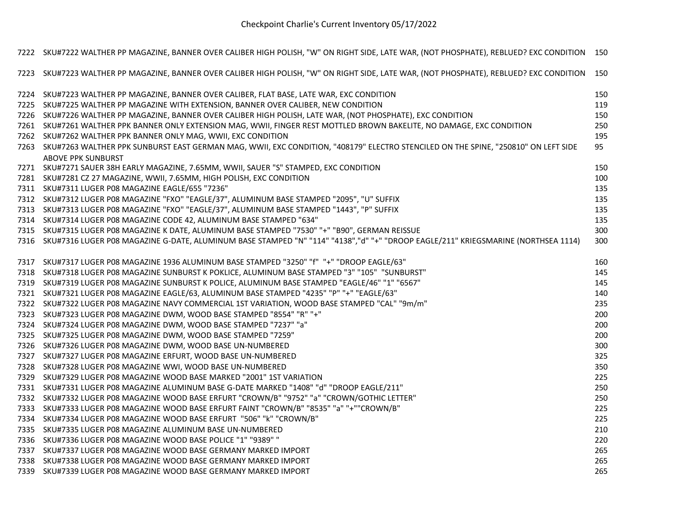Checkpoint Charlie's Current Inventory 05/17/2022

|      | 7222 SKU#7222 WALTHER PP MAGAZINE, BANNER OVER CALIBER HIGH POLISH, "W" ON RIGHT SIDE, LATE WAR, (NOT PHOSPHATE), REBLUED? EXC CONDITION 150 |     |
|------|----------------------------------------------------------------------------------------------------------------------------------------------|-----|
| 7223 | SKU#7223 WALTHER PP MAGAZINE, BANNER OVER CALIBER HIGH POLISH, "W" ON RIGHT SIDE, LATE WAR, (NOT PHOSPHATE), REBLUED? EXC CONDITION          | 150 |
| 7224 | SKU#7223 WALTHER PP MAGAZINE, BANNER OVER CALIBER, FLAT BASE, LATE WAR, EXC CONDITION                                                        | 150 |
|      | 7225 SKU#7225 WALTHER PP MAGAZINE WITH EXTENSION, BANNER OVER CALIBER, NEW CONDITION                                                         | 119 |
|      | 7226 SKU#7226 WALTHER PP MAGAZINE, BANNER OVER CALIBER HIGH POLISH, LATE WAR, (NOT PHOSPHATE), EXC CONDITION                                 | 150 |
|      | 7261 SKU#7261 WALTHER PPK BANNER ONLY EXTENSION MAG, WWII, FINGER REST MOTTLED BROWN BAKELITE, NO DAMAGE, EXC CONDITION                      | 250 |
|      | 7262 SKU#7262 WALTHER PPK BANNER ONLY MAG, WWII, EXC CONDITION                                                                               | 195 |
| 7263 | SKU#7263 WALTHER PPK SUNBURST EAST GERMAN MAG, WWII, EXC CONDITION, "408179" ELECTRO STENCILED ON THE SPINE, "250810" ON LEFT SIDE           | 95  |
|      | <b>ABOVE PPK SUNBURST</b>                                                                                                                    |     |
|      | 7271 SKU#7271 SAUER 38H EARLY MAGAZINE, 7.65MM, WWII, SAUER "S" STAMPED, EXC CONDITION                                                       | 150 |
|      | 7281 SKU#7281 CZ 27 MAGAZINE, WWII, 7.65MM, HIGH POLISH, EXC CONDITION                                                                       | 100 |
|      | 7311 SKU#7311 LUGER P08 MAGAZINE EAGLE/655 "7236"                                                                                            | 135 |
|      | 7312 SKU#7312 LUGER P08 MAGAZINE "FXO" "EAGLE/37", ALUMINUM BASE STAMPED "2095", "U" SUFFIX                                                  | 135 |
|      | 7313 SKU#7313 LUGER P08 MAGAZINE "FXO" "EAGLE/37", ALUMINUM BASE STAMPED "1443", "P" SUFFIX                                                  | 135 |
|      | 7314 SKU#7314 LUGER P08 MAGAZINE CODE 42, ALUMINUM BASE STAMPED "634"                                                                        | 135 |
|      | 7315 SKU#7315 LUGER P08 MAGAZINE K DATE, ALUMINUM BASE STAMPED "7530" "+" "B90", GERMAN REISSUE                                              | 300 |
|      | 7316 SKU#7316 LUGER P08 MAGAZINE G-DATE, ALUMINUM BASE STAMPED "N" "114" "4138","d" "+" "DROOP EAGLE/211" KRIEGSMARINE (NORTHSEA 1114)       | 300 |
| 7317 | SKU#7317 LUGER P08 MAGAZINE 1936 ALUMINUM BASE STAMPED "3250" "f" "+" "DROOP EAGLE/63"                                                       | 160 |
| 7318 | SKU#7318 LUGER P08 MAGAZINE SUNBURST K POKLICE, ALUMINUM BASE STAMPED "3" "105" "SUNBURST"                                                   | 145 |
| 7319 | SKU#7319 LUGER P08 MAGAZINE SUNBURST K POLICE, ALUMINUM BASE STAMPED "EAGLE/46" "1" "6567"                                                   | 145 |
|      | 7321 SKU#7321 LUGER P08 MAGAZINE EAGLE/63, ALUMINUM BASE STAMPED "4235" "P" "+" "EAGLE/63"                                                   | 140 |
|      | 7322 SKU#7322 LUGER P08 MAGAZINE NAVY COMMERCIAL 1ST VARIATION, WOOD BASE STAMPED "CAL" "9m/m"                                               | 235 |
|      | 7323 SKU#7323 LUGER P08 MAGAZINE DWM, WOOD BASE STAMPED "8554" "R" "+"                                                                       | 200 |
| 7324 | SKU#7324 LUGER P08 MAGAZINE DWM, WOOD BASE STAMPED "7237" "a"                                                                                | 200 |
|      | 7325 SKU#7325 LUGER P08 MAGAZINE DWM, WOOD BASE STAMPED "7259"                                                                               | 200 |
| 7326 | SKU#7326 LUGER P08 MAGAZINE DWM, WOOD BASE UN-NUMBERED                                                                                       | 300 |
|      | 7327 SKU#7327 LUGER P08 MAGAZINE ERFURT, WOOD BASE UN-NUMBERED                                                                               | 325 |
|      | 7328 SKU#7328 LUGER P08 MAGAZINE WWI, WOOD BASE UN-NUMBERED                                                                                  | 350 |
| 7329 | SKU#7329 LUGER P08 MAGAZINE WOOD BASE MARKED "2001" 1ST VARIATION                                                                            | 225 |
| 7331 | SKU#7331 LUGER P08 MAGAZINE ALUMINUM BASE G-DATE MARKED "1408" "d" "DROOP EAGLE/211"                                                         | 250 |
| 7332 | SKU#7332 LUGER P08 MAGAZINE WOOD BASE ERFURT "CROWN/B" "9752" "a" "CROWN/GOTHIC LETTER"                                                      | 250 |
| 7333 | SKU#7333 LUGER P08 MAGAZINE WOOD BASE ERFURT FAINT "CROWN/B" "8535" "a" "+""CROWN/B"                                                         | 225 |
|      | 7334 SKU#7334 LUGER P08 MAGAZINE WOOD BASE ERFURT "506" "k" "CROWN/B"                                                                        | 225 |
|      | 7335 SKU#7335 LUGER P08 MAGAZINE ALUMINUM BASE UN-NUMBERED                                                                                   | 210 |
|      | 7336 SKU#7336 LUGER P08 MAGAZINE WOOD BASE POLICE "1" "9389" "                                                                               | 220 |
| 7337 | SKU#7337 LUGER P08 MAGAZINE WOOD BASE GERMANY MARKED IMPORT                                                                                  | 265 |
|      | 7338 SKU#7338 LUGER P08 MAGAZINE WOOD BASE GERMANY MARKED IMPORT                                                                             | 265 |
|      | 7339 SKU#7339 LUGER P08 MAGAZINE WOOD BASE GERMANY MARKED IMPORT                                                                             | 265 |